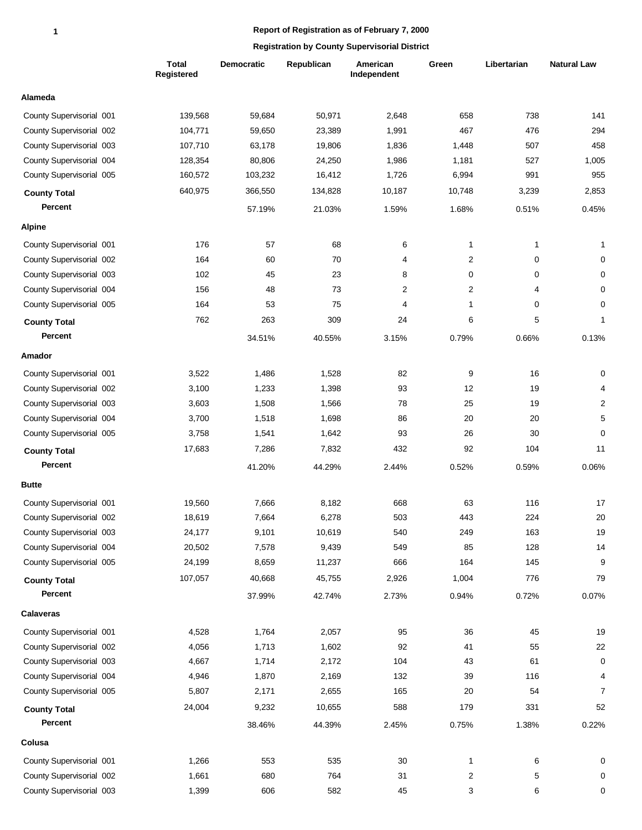|                          | <b>Total</b><br>Registered | Democratic | Republican | American<br>Independent | Green          | Libertarian  | <b>Natural Law</b> |
|--------------------------|----------------------------|------------|------------|-------------------------|----------------|--------------|--------------------|
| Alameda                  |                            |            |            |                         |                |              |                    |
| County Supervisorial 001 | 139,568                    | 59,684     | 50,971     | 2,648                   | 658            | 738          | 141                |
| County Supervisorial 002 | 104,771                    | 59,650     | 23,389     | 1,991                   | 467            | 476          | 294                |
| County Supervisorial 003 | 107,710                    | 63,178     | 19,806     | 1,836                   | 1,448          | 507          | 458                |
| County Supervisorial 004 | 128,354                    | 80,806     | 24,250     | 1,986                   | 1,181          | 527          | 1,005              |
| County Supervisorial 005 | 160,572                    | 103,232    | 16,412     | 1,726                   | 6,994          | 991          | 955                |
| <b>County Total</b>      | 640,975                    | 366,550    | 134,828    | 10,187                  | 10,748         | 3,239        | 2,853              |
| Percent                  |                            | 57.19%     | 21.03%     | 1.59%                   | 1.68%          | 0.51%        | 0.45%              |
| <b>Alpine</b>            |                            |            |            |                         |                |              |                    |
| County Supervisorial 001 | 176                        | 57         | 68         | 6                       | $\mathbf{1}$   | $\mathbf{1}$ | 1                  |
| County Supervisorial 002 | 164                        | 60         | 70         | 4                       | $\overline{2}$ | 0            | 0                  |
| County Supervisorial 003 | 102                        | 45         | 23         | 8                       | 0              | 0            | 0                  |
| County Supervisorial 004 | 156                        | 48         | 73         | 2                       | 2              | 4            | 0                  |
| County Supervisorial 005 | 164                        | 53         | 75         | $\overline{4}$          | $\mathbf{1}$   | 0            | 0                  |
| <b>County Total</b>      | 762                        | 263        | 309        | 24                      | 6              | 5            | 1                  |
| Percent                  |                            | 34.51%     | 40.55%     | 3.15%                   | 0.79%          | 0.66%        | 0.13%              |
| Amador                   |                            |            |            |                         |                |              |                    |
| County Supervisorial 001 | 3,522                      | 1,486      | 1,528      | 82                      | 9              | 16           | 0                  |
| County Supervisorial 002 | 3,100                      | 1,233      | 1,398      | 93                      | 12             | 19           | 4                  |
| County Supervisorial 003 | 3,603                      | 1,508      | 1,566      | 78                      | 25             | 19           | $\overline{c}$     |
| County Supervisorial 004 | 3,700                      | 1,518      | 1,698      | 86                      | 20             | 20           | 5                  |
| County Supervisorial 005 | 3,758                      | 1,541      | 1,642      | 93                      | 26             | 30           | $\mathbf 0$        |
| <b>County Total</b>      | 17,683                     | 7,286      | 7,832      | 432                     | 92             | 104          | 11                 |
| Percent                  |                            | 41.20%     | 44.29%     | 2.44%                   | 0.52%          | 0.59%        | 0.06%              |
| <b>Butte</b>             |                            |            |            |                         |                |              |                    |
| County Supervisorial 001 | 19,560                     | 7,666      | 8,182      | 668                     | 63             | 116          | 17                 |
| County Supervisorial 002 | 18,619                     | 7,664      | 6,278      | 503                     | 443            | 224          | 20                 |
| County Supervisorial 003 | 24,177                     | 9,101      | 10,619     | 540                     | 249            | 163          | 19                 |
| County Supervisorial 004 | 20,502                     | 7,578      | 9,439      | 549                     | 85             | 128          | 14                 |
| County Supervisorial 005 | 24,199                     | 8,659      | 11,237     | 666                     | 164            | 145          | 9                  |
| <b>County Total</b>      | 107,057                    | 40,668     | 45,755     | 2,926                   | 1,004          | 776          | 79                 |
| Percent                  |                            | 37.99%     | 42.74%     | 2.73%                   | 0.94%          | 0.72%        | 0.07%              |
| <b>Calaveras</b>         |                            |            |            |                         |                |              |                    |
| County Supervisorial 001 | 4,528                      | 1,764      | 2,057      | 95                      | 36             | 45           | 19                 |
| County Supervisorial 002 | 4,056                      | 1,713      | 1,602      | 92                      | 41             | 55           | 22                 |
| County Supervisorial 003 | 4,667                      | 1,714      | 2,172      | 104                     | 43             | 61           | 0                  |
| County Supervisorial 004 | 4,946                      | 1,870      | 2,169      | 132                     | 39             | 116          | 4                  |
| County Supervisorial 005 | 5,807                      | 2,171      | 2,655      | 165                     | 20             | 54           | $\overline{7}$     |
| <b>County Total</b>      | 24,004                     | 9,232      | 10,655     | 588                     | 179            | 331          | 52                 |
| Percent                  |                            | 38.46%     | 44.39%     | 2.45%                   | 0.75%          | 1.38%        | 0.22%              |
| Colusa                   |                            |            |            |                         |                |              |                    |
| County Supervisorial 001 | 1,266                      | 553        | 535        | 30                      | $\mathbf{1}$   | 6            | 0                  |
| County Supervisorial 002 | 1,661                      | 680        | 764        | 31                      | $\overline{2}$ | 5            | 0                  |
| County Supervisorial 003 | 1,399                      | 606        | 582        | 45                      | 3              | 6            | $\pmb{0}$          |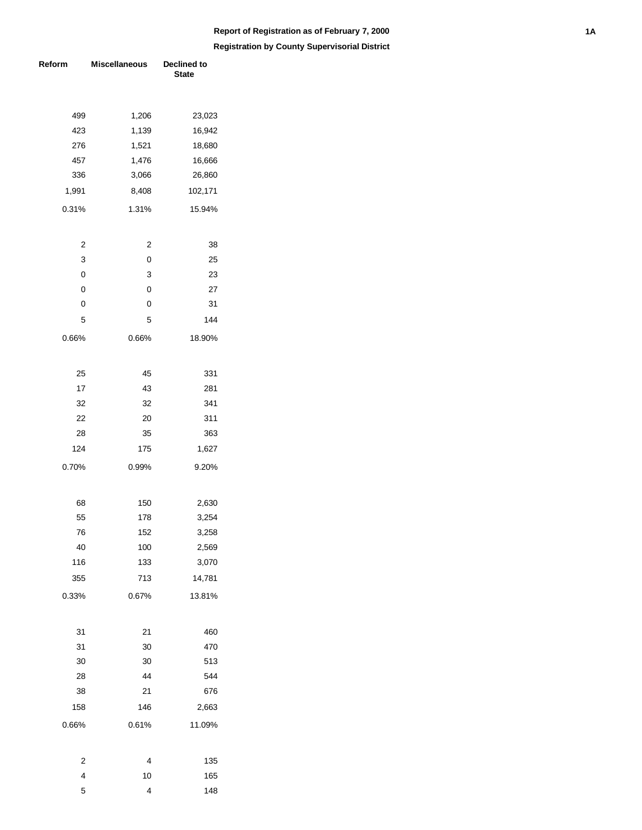| Reform         | <b>Miscellaneous</b> | Declined to<br><b>State</b> |  |  |
|----------------|----------------------|-----------------------------|--|--|
|                |                      |                             |  |  |
| 499            | 1,206                | 23,023                      |  |  |
| 423            | 1,139                | 16,942                      |  |  |
| 276            | 1,521                | 18,680                      |  |  |
| 457            | 1,476                | 16,666                      |  |  |
| 336            | 3,066                | 26,860                      |  |  |
| 1,991          | 8,408                | 102,171                     |  |  |
| 0.31%          | 1.31%                | 15.94%                      |  |  |
| $\overline{2}$ | $\overline{c}$       | 38                          |  |  |
| 3              | 0                    | 25                          |  |  |
| 0              | 3                    | 23                          |  |  |
| 0              | 0                    | 27                          |  |  |
| 0              | 0                    | 31                          |  |  |
| 5              | 5                    | 144                         |  |  |
| 0.66%          | 0.66%                | 18.90%                      |  |  |
| 25             | 45                   | 331                         |  |  |
| 17             | 43                   | 281                         |  |  |
| 32             | 32                   | 341                         |  |  |
| 22             | 20                   | 311                         |  |  |
| 28             | 35                   | 363                         |  |  |
| 124            | 175                  | 1,627                       |  |  |
| 0.70%          | 0.99%                | 9.20%                       |  |  |
|                |                      |                             |  |  |
| 68             | 150                  | 2,630                       |  |  |
| 55             | 178                  | 3,254                       |  |  |
| 76             | 152                  | 3,258                       |  |  |
| 40             | 100                  | 2,569                       |  |  |
| 116            | 133                  | 3,070                       |  |  |
| 355            | 713                  | 14,781                      |  |  |
| 0.33%          | 0.67%                | 13.81%                      |  |  |
| 31             | 21                   | 460                         |  |  |
| 31             | 30                   | 470                         |  |  |
| 30             | 30                   | 513                         |  |  |
| 28             | 44                   | 544                         |  |  |
| 38             | 21                   | 676                         |  |  |
| 158            | 146                  | 2,663                       |  |  |
| 0.66%          | 0.61%                | 11.09%                      |  |  |
|                |                      |                             |  |  |
| 2<br>4         | 4                    | 135                         |  |  |
| 5              | 10<br>4              | 165<br>148                  |  |  |
|                |                      |                             |  |  |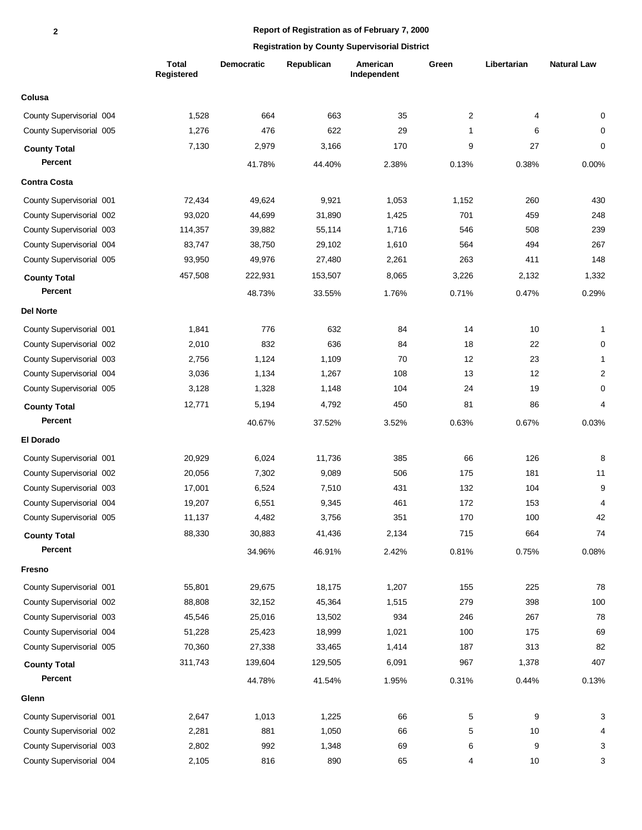|                          | <b>Total</b><br>Registered | <b>Democratic</b> | Republican | American<br>Independent | Green             | Libertarian | <b>Natural Law</b>        |
|--------------------------|----------------------------|-------------------|------------|-------------------------|-------------------|-------------|---------------------------|
| Colusa                   |                            |                   |            |                         |                   |             |                           |
| County Supervisorial 004 | 1,528                      | 664               | 663        | 35                      | $\overline{c}$    | 4           | 0                         |
| County Supervisorial 005 | 1,276                      | 476               | 622        | 29                      | 1                 | 6           | 0                         |
| <b>County Total</b>      | 7,130                      | 2,979             | 3,166      | 170                     | 9                 | 27          | 0                         |
| Percent                  |                            | 41.78%            | 44.40%     | 2.38%                   | 0.13%             | 0.38%       | 0.00%                     |
| <b>Contra Costa</b>      |                            |                   |            |                         |                   |             |                           |
| County Supervisorial 001 | 72,434                     | 49,624            | 9,921      | 1,053                   | 1,152             | 260         | 430                       |
| County Supervisorial 002 | 93,020                     | 44,699            | 31,890     | 1,425                   | 701               | 459         | 248                       |
| County Supervisorial 003 | 114,357                    | 39,882            | 55,114     | 1,716                   | 546               | 508         | 239                       |
| County Supervisorial 004 | 83,747                     | 38,750            | 29,102     | 1,610                   | 564               | 494         | 267                       |
| County Supervisorial 005 | 93,950                     | 49,976            | 27,480     | 2,261                   | 263               | 411         | 148                       |
| <b>County Total</b>      | 457,508                    | 222,931           | 153,507    | 8,065                   | 3,226             | 2,132       | 1,332                     |
| Percent                  |                            | 48.73%            | 33.55%     | 1.76%                   | 0.71%             | 0.47%       | 0.29%                     |
| <b>Del Norte</b>         |                            |                   |            |                         |                   |             |                           |
| County Supervisorial 001 | 1,841                      | 776               | 632        | 84                      | 14                | 10          | 1                         |
| County Supervisorial 002 | 2,010                      | 832               | 636        | 84                      | 18                | 22          | 0                         |
| County Supervisorial 003 | 2,756                      | 1,124             | 1,109      | 70                      | $12 \overline{ }$ | 23          | 1                         |
| County Supervisorial 004 | 3,036                      | 1,134             | 1,267      | 108                     | 13                | 12          | $\overline{c}$            |
| County Supervisorial 005 | 3,128                      | 1,328             | 1,148      | 104                     | 24                | 19          | 0                         |
| <b>County Total</b>      | 12,771                     | 5,194             | 4,792      | 450                     | 81                | 86          | 4                         |
| Percent                  |                            | 40.67%            | 37.52%     | 3.52%                   | 0.63%             | 0.67%       | 0.03%                     |
| <b>El Dorado</b>         |                            |                   |            |                         |                   |             |                           |
| County Supervisorial 001 | 20,929                     | 6,024             | 11,736     | 385                     | 66                | 126         | 8                         |
| County Supervisorial 002 | 20,056                     | 7,302             | 9,089      | 506                     | 175               | 181         | 11                        |
| County Supervisorial 003 | 17,001                     | 6,524             | 7,510      | 431                     | 132               | 104         | 9                         |
| County Supervisorial 004 | 19,207                     | 6,551             | 9,345      | 461                     | 172               | 153         | $\overline{4}$            |
| County Supervisorial 005 | 11,137                     | 4,482             | 3,756      | 351                     | 170               | 100         | 42                        |
| <b>County Total</b>      | 88,330                     | 30,883            | 41,436     | 2,134                   | 715               | 664         | 74                        |
| Percent                  |                            | 34.96%            | 46.91%     | 2.42%                   | 0.81%             | 0.75%       | 0.08%                     |
| Fresno                   |                            |                   |            |                         |                   |             |                           |
| County Supervisorial 001 | 55,801                     | 29,675            | 18,175     | 1,207                   | 155               | 225         | 78                        |
| County Supervisorial 002 | 88,808                     | 32,152            | 45,364     | 1,515                   | 279               | 398         | 100                       |
| County Supervisorial 003 | 45,546                     | 25,016            | 13,502     | 934                     | 246               | 267         | 78                        |
| County Supervisorial 004 | 51,228                     | 25,423            | 18,999     | 1,021                   | 100               | 175         | 69                        |
| County Supervisorial 005 | 70,360                     | 27,338            | 33,465     | 1,414                   | 187               | 313         | 82                        |
| <b>County Total</b>      | 311,743                    | 139,604           | 129,505    | 6,091                   | 967               | 1,378       | 407                       |
| Percent                  |                            | 44.78%            | 41.54%     | 1.95%                   | 0.31%             | 0.44%       | 0.13%                     |
| Glenn                    |                            |                   |            |                         |                   |             |                           |
| County Supervisorial 001 | 2,647                      | 1,013             | 1,225      | 66                      | 5                 | 9           | 3                         |
| County Supervisorial 002 | 2,281                      | 881               | 1,050      | 66                      | 5                 | 10          | 4                         |
| County Supervisorial 003 | 2,802                      | 992               | 1,348      | 69                      | 6                 | 9           | $\ensuremath{\mathsf{3}}$ |
| County Supervisorial 004 | 2,105                      | 816               | 890        | 65                      | 4                 | 10          | 3                         |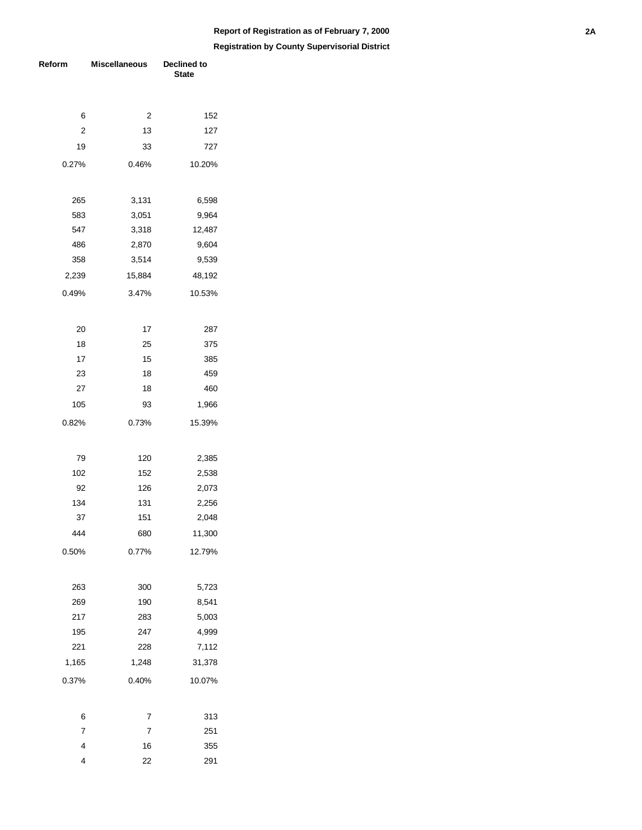| Reform                  | <b>Miscellaneous</b> | Declined to<br><b>State</b> |  |  |
|-------------------------|----------------------|-----------------------------|--|--|
|                         |                      |                             |  |  |
| 6                       | 2                    | 152                         |  |  |
| $\overline{\mathbf{c}}$ | 13                   | 127                         |  |  |
| 19                      | 33                   | 727                         |  |  |
| 0.27%                   | 0.46%                | 10.20%                      |  |  |
| 265                     | 3,131                | 6,598                       |  |  |
| 583                     | 3,051                | 9,964                       |  |  |
| 547                     | 3,318                | 12,487                      |  |  |
| 486                     | 2,870                | 9,604                       |  |  |
| 358                     | 3,514                | 9,539                       |  |  |
| 2,239                   | 15,884               | 48,192                      |  |  |
| 0.49%                   | 3.47%                | 10.53%                      |  |  |
| 20                      | 17                   | 287                         |  |  |
| 18                      | 25                   | 375                         |  |  |
| 17                      | 15                   | 385                         |  |  |
| 23                      | 18                   | 459                         |  |  |
| 27                      | 18                   | 460                         |  |  |
| 105                     | 93                   | 1,966                       |  |  |
| 0.82%                   | 0.73%                | 15.39%                      |  |  |
|                         |                      |                             |  |  |
| 79                      | 120                  | 2,385                       |  |  |
| 102                     | 152                  | 2,538                       |  |  |
| 92                      | 126                  | 2,073                       |  |  |
| 134                     | 131                  | 2,256                       |  |  |
| 37                      | 151                  | 2,048                       |  |  |
| 444                     | 680                  | 11,300                      |  |  |
| 0.50%                   | 0.77%                | 12.79%                      |  |  |
| 263                     | 300                  | 5,723                       |  |  |
| 269                     | 190                  | 8,541                       |  |  |
| 217                     | 283                  | 5,003                       |  |  |
| 195                     | 247                  | 4,999                       |  |  |
| 221                     | 228                  | 7,112                       |  |  |
| 1,165                   | 1,248                | 31,378                      |  |  |
| 0.37%                   | 0.40%                | 10.07%                      |  |  |
| 6                       | 7                    | 313                         |  |  |
| 7                       | $\overline{7}$       | 251                         |  |  |
| 4                       | 16                   | 355                         |  |  |
| 4                       | 22                   | 291                         |  |  |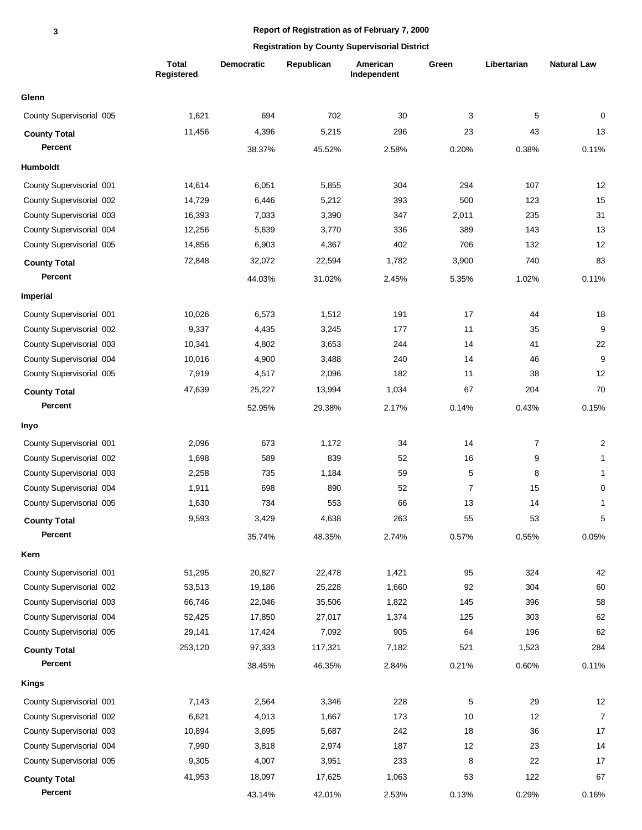|                          | <b>Total</b><br><b>Registered</b> | <b>Democratic</b> | Republican | American<br>Independent | Green          | Libertarian | <b>Natural Law</b> |
|--------------------------|-----------------------------------|-------------------|------------|-------------------------|----------------|-------------|--------------------|
| Glenn                    |                                   |                   |            |                         |                |             |                    |
| County Supervisorial 005 | 1,621                             | 694               | 702        | 30                      | 3              | 5           | 0                  |
| <b>County Total</b>      | 11,456                            | 4,396             | 5,215      | 296                     | 23             | 43          | 13                 |
| Percent                  |                                   | 38.37%            | 45.52%     | 2.58%                   | 0.20%          | 0.38%       | 0.11%              |
| <b>Humboldt</b>          |                                   |                   |            |                         |                |             |                    |
| County Supervisorial 001 | 14,614                            | 6,051             | 5,855      | 304                     | 294            | 107         | 12                 |
| County Supervisorial 002 | 14,729                            | 6,446             | 5,212      | 393                     | 500            | 123         | 15                 |
| County Supervisorial 003 | 16,393                            | 7,033             | 3,390      | 347                     | 2,011          | 235         | 31                 |
| County Supervisorial 004 | 12,256                            | 5,639             | 3,770      | 336                     | 389            | 143         | 13                 |
| County Supervisorial 005 | 14,856                            | 6,903             | 4,367      | 402                     | 706            | 132         | 12                 |
| <b>County Total</b>      | 72,848                            | 32,072            | 22,594     | 1,782                   | 3,900          | 740         | 83                 |
| Percent                  |                                   | 44.03%            | 31.02%     | 2.45%                   | 5.35%          | 1.02%       | 0.11%              |
| <b>Imperial</b>          |                                   |                   |            |                         |                |             |                    |
| County Supervisorial 001 | 10,026                            | 6,573             | 1,512      | 191                     | 17             | 44          | 18                 |
| County Supervisorial 002 | 9,337                             | 4,435             | 3,245      | 177                     | 11             | 35          | 9                  |
| County Supervisorial 003 | 10,341                            | 4,802             | 3,653      | 244                     | 14             | 41          | 22                 |
| County Supervisorial 004 | 10,016                            | 4,900             | 3,488      | 240                     | 14             | 46          | $\boldsymbol{9}$   |
| County Supervisorial 005 | 7,919                             | 4,517             | 2,096      | 182                     | 11             | 38          | 12                 |
| <b>County Total</b>      | 47,639                            | 25,227            | 13,994     | 1,034                   | 67             | 204         | 70                 |
| Percent                  |                                   | 52.95%            | 29.38%     | 2.17%                   | 0.14%          | 0.43%       | 0.15%              |
| Inyo                     |                                   |                   |            |                         |                |             |                    |
| County Supervisorial 001 | 2,096                             | 673               | 1,172      | 34                      | 14             | 7           | $\overline{c}$     |
| County Supervisorial 002 | 1,698                             | 589               | 839        | 52                      | 16             | 9           | $\mathbf{1}$       |
| County Supervisorial 003 | 2,258                             | 735               | 1,184      | 59                      | 5              | 8           | 1                  |
| County Supervisorial 004 | 1,911                             | 698               | 890        | 52                      | $\overline{7}$ | 15          | 0                  |
| County Supervisorial 005 | 1,630                             | 734               | 553        | 66                      | 13             | 14          | $\mathbf 1$        |
| <b>County Total</b>      | 9,593                             | 3,429             | 4,638      | 263                     | 55             | 53          | 5                  |
| Percent                  |                                   | 35.74%            | 48.35%     | 2.74%                   | 0.57%          | 0.55%       | 0.05%              |
| Kern                     |                                   |                   |            |                         |                |             |                    |
| County Supervisorial 001 | 51,295                            | 20,827            | 22,478     | 1,421                   | 95             | 324         | 42                 |
| County Supervisorial 002 | 53,513                            | 19,186            | 25,228     | 1,660                   | 92             | 304         | 60                 |
| County Supervisorial 003 | 66,746                            | 22,046            | 35,506     | 1,822                   | 145            | 396         | 58                 |
| County Supervisorial 004 | 52,425                            | 17,850            | 27,017     | 1,374                   | 125            | 303         | 62                 |
| County Supervisorial 005 | 29,141                            | 17,424            | 7,092      | 905                     | 64             | 196         | 62                 |
| <b>County Total</b>      | 253,120                           | 97,333            | 117,321    | 7,182                   | 521            | 1,523       | 284                |
| Percent                  |                                   | 38.45%            | 46.35%     | 2.84%                   | 0.21%          | 0.60%       | 0.11%              |
| <b>Kings</b>             |                                   |                   |            |                         |                |             |                    |
| County Supervisorial 001 | 7,143                             | 2,564             | 3,346      | 228                     | 5              | 29          | 12                 |
| County Supervisorial 002 | 6,621                             | 4,013             | 1,667      | 173                     | 10             | 12          | $\boldsymbol{7}$   |
| County Supervisorial 003 | 10,894                            | 3,695             | 5,687      | 242                     | 18             | 36          | 17                 |
| County Supervisorial 004 | 7,990                             | 3,818             | 2,974      | 187                     | 12             | 23          | 14                 |
| County Supervisorial 005 | 9,305                             | 4,007             | 3,951      | 233                     | 8              | 22          | 17                 |
| <b>County Total</b>      | 41,953                            | 18,097            | 17,625     | 1,063                   | 53             | 122         | 67                 |
| Percent                  |                                   | 43.14%            | 42.01%     | 2.53%                   | 0.13%          | 0.29%       | 0.16%              |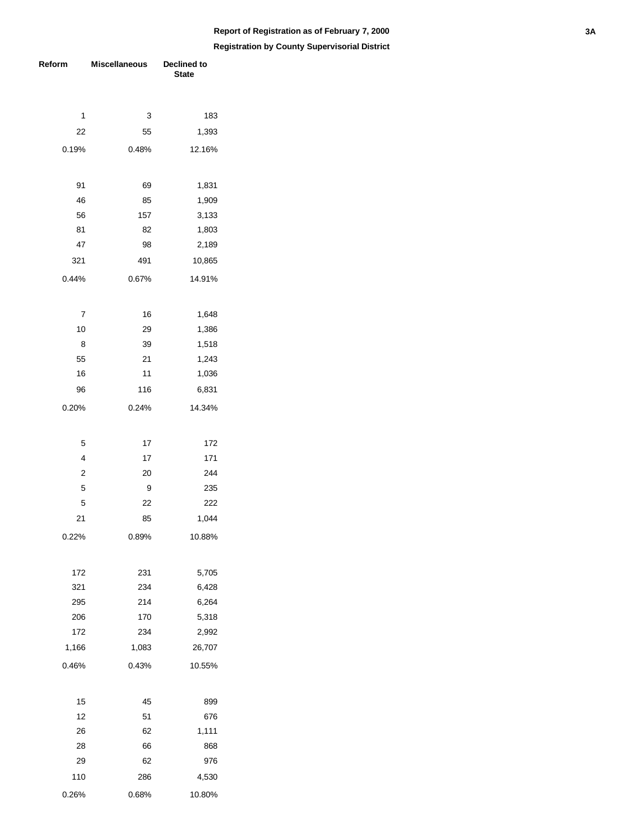| Reform         | Miscellaneous | <b>Declined to</b><br><b>State</b> |  |  |
|----------------|---------------|------------------------------------|--|--|
|                |               |                                    |  |  |
| 1              | 3<br>55       | 183                                |  |  |
| 22             |               | 1,393                              |  |  |
| 0.19%          | 0.48%         | 12.16%                             |  |  |
| 91             | 69            | 1,831                              |  |  |
| 46             | 85            | 1,909                              |  |  |
| 56             | 157           | 3,133                              |  |  |
| 81             | 82            | 1,803                              |  |  |
| 47             | 98            | 2,189                              |  |  |
| 321            | 491           | 10,865                             |  |  |
| 0.44%          | 0.67%         | 14.91%                             |  |  |
| 7              | 16            | 1,648                              |  |  |
| 10             | 29            | 1,386                              |  |  |
| 8              | 39            | 1,518                              |  |  |
| 55             | 21            | 1,243                              |  |  |
| 16             | 11            | 1,036                              |  |  |
| 96             | 116           | 6,831                              |  |  |
| 0.20%          | 0.24%         | 14.34%                             |  |  |
| 5              | 17            | 172                                |  |  |
| $\overline{4}$ | 17            | 171                                |  |  |
| $\overline{2}$ | 20            | 244                                |  |  |
| 5              | 9             | 235                                |  |  |
| 5              | 22            | 222                                |  |  |
| 21             | 85            | 1,044                              |  |  |
| 0.22%          | 0.89%         | 10.88%                             |  |  |
|                |               |                                    |  |  |
| 172            | 231           | 5,705                              |  |  |
| 321            | 234           | 6,428                              |  |  |
| 295            | 214           | 6,264                              |  |  |
| 206            | 170           | 5,318                              |  |  |
| 172            | 234           | 2,992                              |  |  |
| 1,166          | 1,083         | 26,707                             |  |  |
| 0.46%          | 0.43%         | 10.55%                             |  |  |
| 15             | 45            | 899                                |  |  |
| 12             | 51            | 676                                |  |  |
| 26             | 62            | 1,111                              |  |  |
| 28             | 66            | 868                                |  |  |
| 29             | 62            | 976                                |  |  |
| 110            | 286           | 4,530                              |  |  |
| 0.26%          | 0.68%         | 10.80%                             |  |  |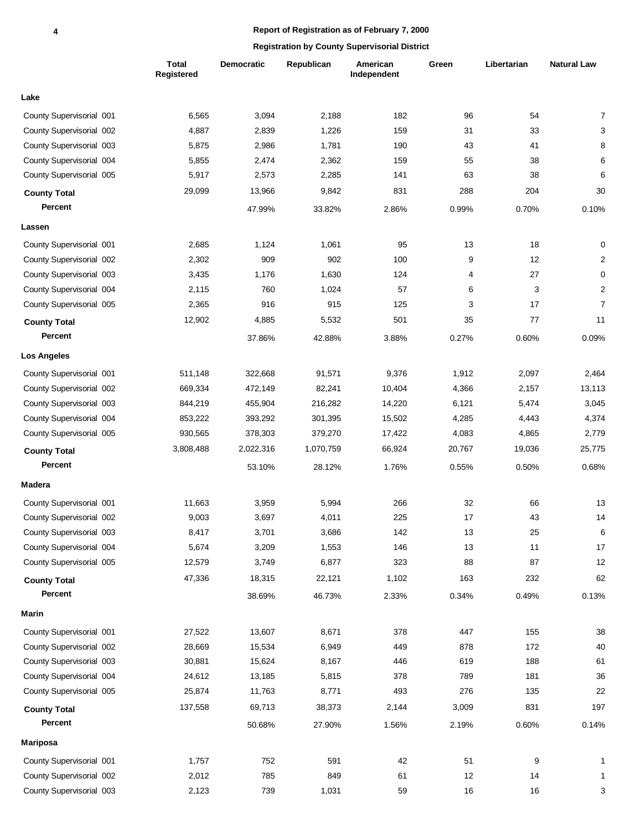|                          | Total<br>Registered | <b>Democratic</b> | Republican | American<br>Independent | Green  | Libertarian | <b>Natural Law</b> |
|--------------------------|---------------------|-------------------|------------|-------------------------|--------|-------------|--------------------|
| Lake                     |                     |                   |            |                         |        |             |                    |
| County Supervisorial 001 | 6,565               | 3,094             | 2,188      | 182                     | 96     | 54          | 7                  |
| County Supervisorial 002 | 4,887               | 2,839             | 1,226      | 159                     | 31     | 33          | 3                  |
| County Supervisorial 003 | 5,875               | 2,986             | 1,781      | 190                     | 43     | 41          | 8                  |
| County Supervisorial 004 | 5,855               | 2,474             | 2,362      | 159                     | 55     | 38          | 6                  |
| County Supervisorial 005 | 5,917               | 2,573             | 2,285      | 141                     | 63     | 38          | 6                  |
| <b>County Total</b>      | 29,099              | 13,966            | 9,842      | 831                     | 288    | 204         | 30                 |
| <b>Percent</b>           |                     | 47.99%            | 33.82%     | 2.86%                   | 0.99%  | 0.70%       | 0.10%              |
| Lassen                   |                     |                   |            |                         |        |             |                    |
| County Supervisorial 001 | 2,685               | 1,124             | 1,061      | 95                      | 13     | 18          | 0                  |
| County Supervisorial 002 | 2,302               | 909               | 902        | 100                     | 9      | 12          | $\overline{c}$     |
| County Supervisorial 003 | 3,435               | 1,176             | 1,630      | 124                     | 4      | 27          | 0                  |
| County Supervisorial 004 | 2,115               | 760               | 1,024      | 57                      | 6      | 3           | $\overline{c}$     |
| County Supervisorial 005 | 2,365               | 916               | 915        | 125                     | 3      | 17          | $\overline{7}$     |
| <b>County Total</b>      | 12,902              | 4,885             | 5,532      | 501                     | 35     | 77          | 11                 |
| <b>Percent</b>           |                     | 37.86%            | 42.88%     | 3.88%                   | 0.27%  | 0.60%       | 0.09%              |
| <b>Los Angeles</b>       |                     |                   |            |                         |        |             |                    |
| County Supervisorial 001 | 511,148             | 322,668           | 91,571     | 9,376                   | 1,912  | 2,097       | 2,464              |
| County Supervisorial 002 | 669,334             | 472,149           | 82,241     | 10,404                  | 4,366  | 2,157       | 13,113             |
| County Supervisorial 003 | 844,219             | 455,904           | 216,282    | 14,220                  | 6,121  | 5,474       | 3,045              |
| County Supervisorial 004 | 853,222             | 393,292           | 301,395    | 15,502                  | 4,285  | 4,443       | 4,374              |
| County Supervisorial 005 | 930,565             | 378,303           | 379,270    | 17,422                  | 4,083  | 4,865       | 2,779              |
| <b>County Total</b>      | 3,808,488           | 2,022,316         | 1,070,759  | 66,924                  | 20,767 | 19,036      | 25,775             |
| Percent                  |                     | 53.10%            | 28.12%     | 1.76%                   | 0.55%  | 0.50%       | 0.68%              |
| Madera                   |                     |                   |            |                         |        |             |                    |
| County Supervisorial 001 | 11,663              | 3,959             | 5,994      | 266                     | 32     | 66          | 13                 |
| County Supervisorial 002 | 9,003               | 3,697             | 4,011      | 225                     | 17     | 43          | 14                 |
| County Supervisorial 003 | 8,417               | 3,701             | 3,686      | 142                     | 13     | 25          | 6                  |
| County Supervisorial 004 | 5,674               | 3,209             | 1,553      | 146                     | 13     | 11          | 17                 |
| County Supervisorial 005 | 12,579              | 3,749             | 6,877      | 323                     | 88     | 87          | 12                 |
| <b>County Total</b>      | 47,336              | 18,315            | 22,121     | 1,102                   | 163    | 232         | 62                 |
| Percent                  |                     | 38.69%            | 46.73%     | 2.33%                   | 0.34%  | 0.49%       | 0.13%              |
| Marin                    |                     |                   |            |                         |        |             |                    |
| County Supervisorial 001 | 27,522              | 13,607            | 8,671      | 378                     | 447    | 155         | 38                 |
| County Supervisorial 002 | 28,669              | 15,534            | 6,949      | 449                     | 878    | 172         | 40                 |
| County Supervisorial 003 | 30,881              | 15,624            | 8,167      | 446                     | 619    | 188         | 61                 |
| County Supervisorial 004 | 24,612              | 13,185            | 5,815      | 378                     | 789    | 181         | 36                 |
| County Supervisorial 005 | 25,874              | 11,763            | 8,771      | 493                     | 276    | 135         | 22                 |
| <b>County Total</b>      | 137,558             | 69,713            | 38,373     | 2,144                   | 3,009  | 831         | 197                |
| Percent                  |                     | 50.68%            | 27.90%     | 1.56%                   | 2.19%  | 0.60%       | 0.14%              |
| <b>Mariposa</b>          |                     |                   |            |                         |        |             |                    |
| County Supervisorial 001 | 1,757               | 752               | 591        | 42                      | 51     | 9           | 1                  |
| County Supervisorial 002 | 2,012               | 785               | 849        | 61                      | 12     | 14          | $\mathbf{1}$       |
| County Supervisorial 003 | 2,123               | 739               | 1,031      | 59                      | $16\,$ | 16          | 3                  |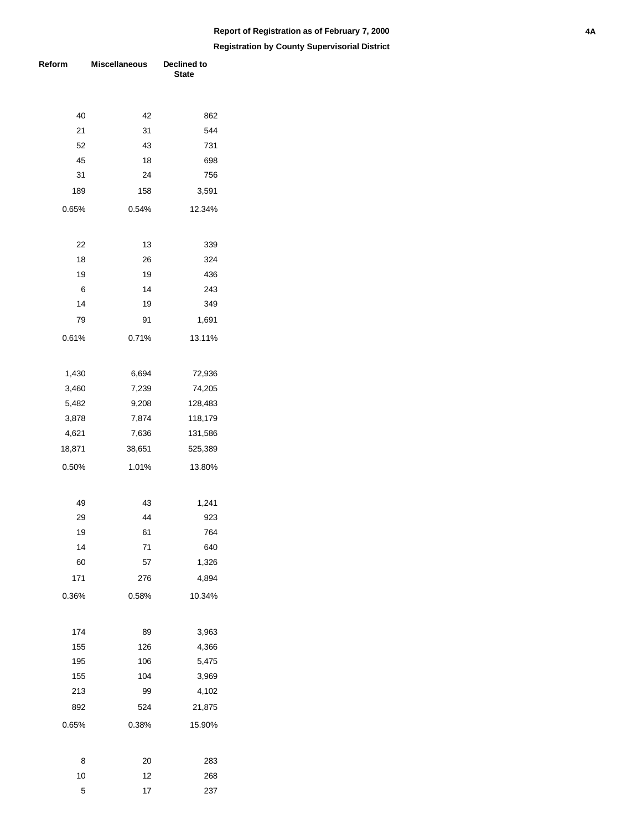| Reform | <b>Miscellaneous</b> | Declined to<br><b>State</b> |  |  |
|--------|----------------------|-----------------------------|--|--|
|        |                      |                             |  |  |
| 40     | 42                   | 862                         |  |  |
| 21     | 31                   | 544                         |  |  |
| 52     | 43                   | 731                         |  |  |
| 45     | 18                   | 698                         |  |  |
| 31     | 24                   | 756                         |  |  |
| 189    | 158                  | 3,591                       |  |  |
| 0.65%  | 0.54%                | 12.34%                      |  |  |
| 22     | 13                   | 339                         |  |  |
| 18     | 26                   | 324                         |  |  |
| 19     | 19                   | 436                         |  |  |
| 6      | 14                   | 243                         |  |  |
| 14     | 19                   | 349                         |  |  |
| 79     | 91                   | 1,691                       |  |  |
| 0.61%  | 0.71%                | 13.11%                      |  |  |
| 1,430  | 6,694                | 72,936                      |  |  |
| 3,460  | 7,239                | 74,205                      |  |  |
| 5,482  | 9,208                | 128,483                     |  |  |
| 3,878  | 7,874                | 118,179                     |  |  |
| 4,621  | 7,636                | 131,586                     |  |  |
| 18,871 | 38,651               | 525,389                     |  |  |
| 0.50%  | 1.01%                | 13.80%                      |  |  |
| 49     | 43                   | 1,241                       |  |  |
| 29     | 44                   | 923                         |  |  |
| 19     | 61                   | 764                         |  |  |
| 14     | 71                   | 640                         |  |  |
| 60     | 57                   | 1,326                       |  |  |
| 171    | 276                  | 4,894                       |  |  |
| 0.36%  | 0.58%                | 10.34%                      |  |  |
| 174    | 89                   | 3,963                       |  |  |
| 155    | 126                  | 4,366                       |  |  |
| 195    | 106                  | 5,475                       |  |  |
| 155    | 104                  | 3,969                       |  |  |
| 213    | 99                   | 4,102                       |  |  |
| 892    | 524                  | 21,875                      |  |  |
| 0.65%  | 0.38%                | 15.90%                      |  |  |
| 8      | 20                   | 283                         |  |  |
| 10     | 12                   | 268                         |  |  |
| 5      | 17                   | 237                         |  |  |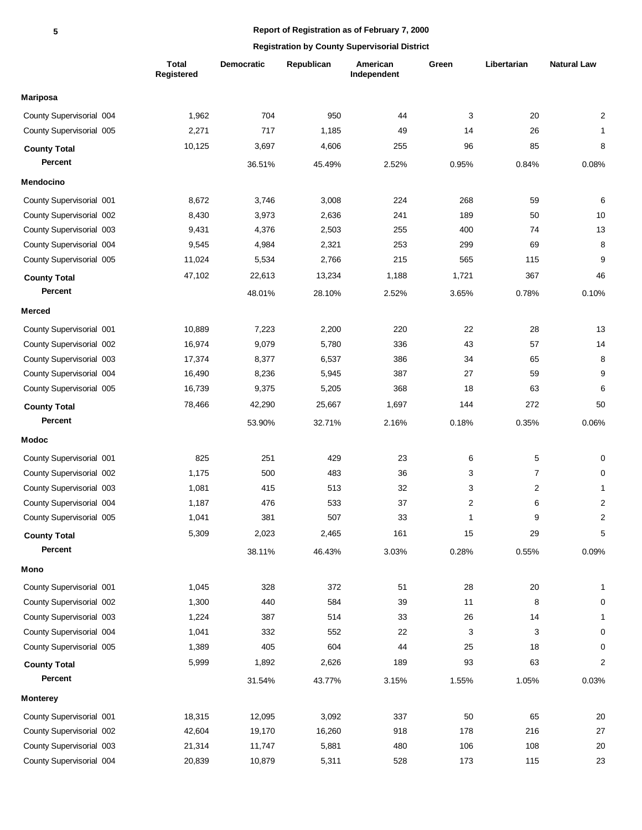|                          | <b>Total</b><br>Registered | Democratic | Republican | American<br>Independent | Green                   | Libertarian    | <b>Natural Law</b> |
|--------------------------|----------------------------|------------|------------|-------------------------|-------------------------|----------------|--------------------|
| <b>Mariposa</b>          |                            |            |            |                         |                         |                |                    |
| County Supervisorial 004 | 1,962                      | 704        | 950        | 44                      | 3                       | 20             | $\overline{c}$     |
| County Supervisorial 005 | 2,271                      | 717        | 1,185      | 49                      | 14                      | 26             | 1                  |
| <b>County Total</b>      | 10,125                     | 3,697      | 4,606      | 255                     | 96                      | 85             | 8                  |
| <b>Percent</b>           |                            | 36.51%     | 45.49%     | 2.52%                   | 0.95%                   | 0.84%          | 0.08%              |
| Mendocino                |                            |            |            |                         |                         |                |                    |
| County Supervisorial 001 | 8,672                      | 3,746      | 3,008      | 224                     | 268                     | 59             | 6                  |
| County Supervisorial 002 | 8,430                      | 3,973      | 2,636      | 241                     | 189                     | 50             | 10                 |
| County Supervisorial 003 | 9,431                      | 4,376      | 2,503      | 255                     | 400                     | 74             | 13                 |
| County Supervisorial 004 | 9,545                      | 4,984      | 2,321      | 253                     | 299                     | 69             | 8                  |
| County Supervisorial 005 | 11,024                     | 5,534      | 2,766      | 215                     | 565                     | 115            | 9                  |
| <b>County Total</b>      | 47,102                     | 22,613     | 13,234     | 1,188                   | 1,721                   | 367            | 46                 |
| <b>Percent</b>           |                            | 48.01%     | 28.10%     | 2.52%                   | 3.65%                   | 0.78%          | 0.10%              |
| Merced                   |                            |            |            |                         |                         |                |                    |
| County Supervisorial 001 | 10,889                     | 7,223      | 2,200      | 220                     | 22                      | 28             | 13                 |
| County Supervisorial 002 | 16,974                     | 9,079      | 5,780      | 336                     | 43                      | 57             | 14                 |
| County Supervisorial 003 | 17,374                     | 8,377      | 6,537      | 386                     | 34                      | 65             | 8                  |
| County Supervisorial 004 | 16,490                     | 8,236      | 5,945      | 387                     | 27                      | 59             | 9                  |
| County Supervisorial 005 | 16,739                     | 9,375      | 5,205      | 368                     | 18                      | 63             | 6                  |
| <b>County Total</b>      | 78,466                     | 42,290     | 25,667     | 1,697                   | 144                     | 272            | 50                 |
| <b>Percent</b>           |                            | 53.90%     | 32.71%     | 2.16%                   | 0.18%                   | 0.35%          | 0.06%              |
| <b>Modoc</b>             |                            |            |            |                         |                         |                |                    |
| County Supervisorial 001 | 825                        | 251        | 429        | 23                      | 6                       | 5              | 0                  |
| County Supervisorial 002 | 1,175                      | 500        | 483        | 36                      | 3                       | 7              | 0                  |
| County Supervisorial 003 | 1,081                      | 415        | 513        | 32                      | 3                       | $\overline{2}$ | 1                  |
| County Supervisorial 004 | 1,187                      | 476        | 533        | 37                      | $\overline{\mathbf{c}}$ | 6              | $\overline{2}$     |
| County Supervisorial 005 | 1,041                      | 381        | 507        | 33                      | $\mathbf{1}$            | 9              | $\overline{2}$     |
| <b>County Total</b>      | 5,309                      | 2,023      | 2,465      | 161                     | 15                      | 29             | 5                  |
| Percent                  |                            | 38.11%     | 46.43%     | 3.03%                   | 0.28%                   | 0.55%          | 0.09%              |
| Mono                     |                            |            |            |                         |                         |                |                    |
| County Supervisorial 001 | 1,045                      | 328        | 372        | 51                      | 28                      | $20\,$         | 1                  |
| County Supervisorial 002 | 1,300                      | 440        | 584        | 39                      | 11                      | 8              | 0                  |
| County Supervisorial 003 | 1,224                      | 387        | 514        | 33                      | 26                      | 14             | 1                  |
| County Supervisorial 004 | 1,041                      | 332        | 552        | 22                      | 3                       | 3              | 0                  |
| County Supervisorial 005 | 1,389                      | 405        | 604        | 44                      | 25                      | 18             | 0                  |
| <b>County Total</b>      | 5,999                      | 1,892      | 2,626      | 189                     | 93                      | 63             | $\overline{c}$     |
| Percent                  |                            | 31.54%     | 43.77%     | 3.15%                   | 1.55%                   | 1.05%          | 0.03%              |
| <b>Monterey</b>          |                            |            |            |                         |                         |                |                    |
| County Supervisorial 001 | 18,315                     | 12,095     | 3,092      | 337                     | 50                      | 65             | $20\,$             |
| County Supervisorial 002 | 42,604                     | 19,170     | 16,260     | 918                     | 178                     | 216            | $27\,$             |
| County Supervisorial 003 | 21,314                     | 11,747     | 5,881      | 480                     | 106                     | 108            | $20\,$             |
| County Supervisorial 004 | 20,839                     | 10,879     | 5,311      | 528                     | 173                     | 115            | 23                 |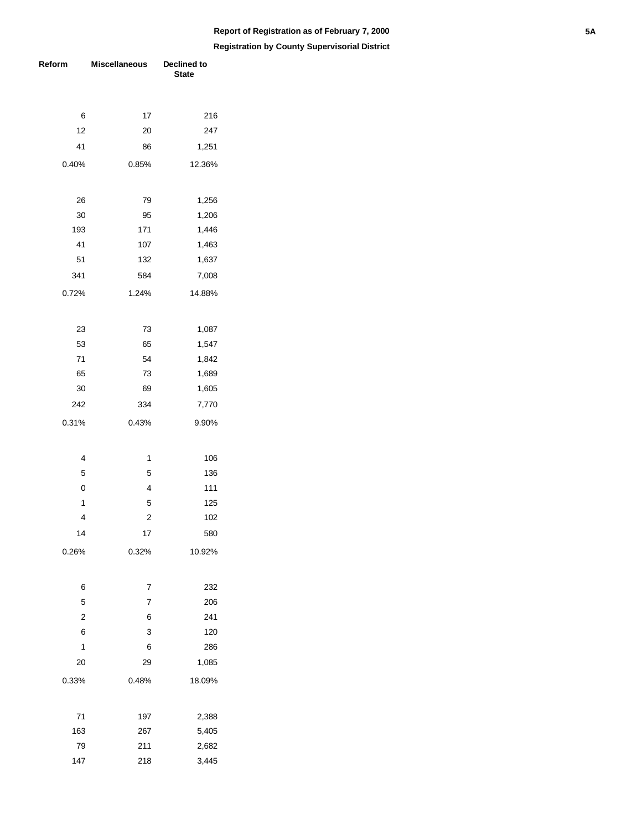| Reform         | <b>Miscellaneous</b> | Declined to<br><b>State</b> |  |  |
|----------------|----------------------|-----------------------------|--|--|
|                |                      |                             |  |  |
| 6              | 17                   | 216                         |  |  |
| 12             | 20                   | 247                         |  |  |
| 41             | 86                   | 1,251                       |  |  |
| 0.40%          | 0.85%                | 12.36%                      |  |  |
| 26             | 79                   | 1,256                       |  |  |
| 30             | 95                   | 1,206                       |  |  |
| 193            | 171                  | 1,446                       |  |  |
| 41             | 107                  | 1,463                       |  |  |
| 51             | 132                  | 1,637                       |  |  |
| 341            | 584                  | 7,008                       |  |  |
| 0.72%          | 1.24%                | 14.88%                      |  |  |
| 23             | 73                   | 1,087                       |  |  |
| 53             | 65                   | 1,547                       |  |  |
| 71             | 54                   | 1,842                       |  |  |
| 65             | 73                   | 1,689                       |  |  |
| 30             | 69                   | 1,605                       |  |  |
| 242            | 334                  | 7,770                       |  |  |
| 0.31%          | 0.43%                | 9.90%                       |  |  |
| 4              | 1                    | 106                         |  |  |
| 5              | 5                    | 136                         |  |  |
| 0              | 4                    | 111                         |  |  |
| 1              | 5                    | 125                         |  |  |
| 4              | $\overline{c}$       | 102                         |  |  |
| 14             | 17                   | 580                         |  |  |
| 0.26%          | 0.32%                | 10.92%                      |  |  |
| 6              | 7                    | 232                         |  |  |
| 5              | 7                    | 206                         |  |  |
| $\overline{2}$ | 6                    | 241                         |  |  |
| 6              | 3                    | 120                         |  |  |
| 1              | 6                    | 286                         |  |  |
| 20             | 29                   | 1,085                       |  |  |
| 0.33%          | 0.48%                | 18.09%                      |  |  |
| 71             | 197                  | 2,388                       |  |  |
| 163            | 267                  | 5,405                       |  |  |
| 79             | 211                  | 2,682                       |  |  |
| 147            | 218                  | 3,445                       |  |  |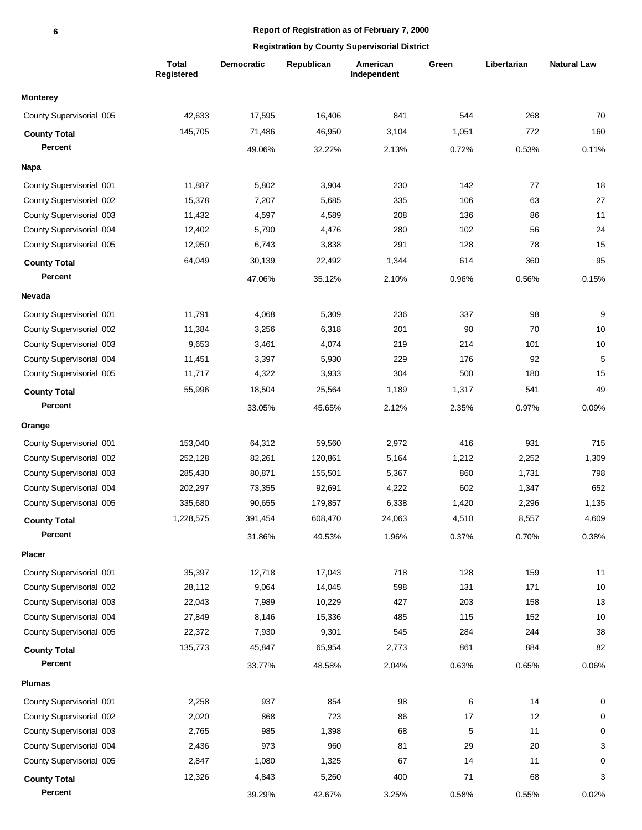|                          | Total<br>Registered | <b>Democratic</b> | Republican | American<br>Independent | Green | Libertarian | <b>Natural Law</b> |
|--------------------------|---------------------|-------------------|------------|-------------------------|-------|-------------|--------------------|
| <b>Monterey</b>          |                     |                   |            |                         |       |             |                    |
| County Supervisorial 005 | 42,633              | 17,595            | 16.406     | 841                     | 544   | 268         | 70                 |
| <b>County Total</b>      | 145,705             | 71,486            | 46,950     | 3,104                   | 1,051 | 772         | 160                |
| Percent                  |                     | 49.06%            | 32.22%     | 2.13%                   | 0.72% | 0.53%       | 0.11%              |
| <b>Napa</b>              |                     |                   |            |                         |       |             |                    |
| County Supervisorial 001 | 11,887              | 5,802             | 3,904      | 230                     | 142   | 77          | 18                 |
| County Supervisorial 002 | 15,378              | 7,207             | 5,685      | 335                     | 106   | 63          | 27                 |
| County Supervisorial 003 | 11,432              | 4,597             | 4,589      | 208                     | 136   | 86          | 11                 |
| County Supervisorial 004 | 12,402              | 5,790             | 4,476      | 280                     | 102   | 56          | 24                 |
| County Supervisorial 005 | 12,950              | 6,743             | 3,838      | 291                     | 128   | 78          | 15                 |
| <b>County Total</b>      | 64,049              | 30,139            | 22,492     | 1,344                   | 614   | 360         | 95                 |
| Percent                  |                     | 47.06%            | 35.12%     | 2.10%                   | 0.96% | 0.56%       | 0.15%              |
| <b>Nevada</b>            |                     |                   |            |                         |       |             |                    |
| County Supervisorial 001 | 11,791              | 4,068             | 5,309      | 236                     | 337   | 98          | 9                  |
| County Supervisorial 002 | 11,384              | 3,256             | 6,318      | 201                     | 90    | 70          | 10                 |
| County Supervisorial 003 | 9,653               | 3,461             | 4,074      | 219                     | 214   | 101         | 10                 |
| County Supervisorial 004 | 11,451              | 3,397             | 5,930      | 229                     | 176   | 92          | 5                  |
| County Supervisorial 005 | 11,717              | 4,322             | 3,933      | 304                     | 500   | 180         | 15                 |
| <b>County Total</b>      | 55,996              | 18,504            | 25,564     | 1,189                   | 1,317 | 541         | 49                 |
| Percent                  |                     | 33.05%            | 45.65%     | 2.12%                   | 2.35% | 0.97%       | 0.09%              |
| Orange                   |                     |                   |            |                         |       |             |                    |
| County Supervisorial 001 | 153,040             | 64,312            | 59,560     | 2,972                   | 416   | 931         | 715                |
| County Supervisorial 002 | 252,128             | 82,261            | 120,861    | 5,164                   | 1,212 | 2,252       | 1,309              |
| County Supervisorial 003 | 285,430             | 80,871            | 155,501    | 5,367                   | 860   | 1,731       | 798                |
| County Supervisorial 004 | 202,297             | 73,355            | 92,691     | 4,222                   | 602   | 1,347       | 652                |
| County Supervisorial 005 | 335,680             | 90,655            | 179,857    | 6,338                   | 1,420 | 2,296       | 1,135              |
| <b>County Total</b>      | 1,228,575           | 391,454           | 608,470    | 24,063                  | 4,510 | 8,557       | 4,609              |
| Percent                  |                     | 31.86%            | 49.53%     | 1.96%                   | 0.37% | 0.70%       | 0.38%              |
| <b>Placer</b>            |                     |                   |            |                         |       |             |                    |
| County Supervisorial 001 | 35,397              | 12,718            | 17,043     | 718                     | 128   | 159         | 11                 |
| County Supervisorial 002 | 28,112              | 9,064             | 14,045     | 598                     | 131   | 171         | 10                 |
| County Supervisorial 003 | 22,043              | 7,989             | 10,229     | 427                     | 203   | 158         | 13                 |
| County Supervisorial 004 | 27,849              | 8,146             | 15,336     | 485                     | 115   | 152         | 10                 |
| County Supervisorial 005 | 22,372              | 7,930             | 9,301      | 545                     | 284   | 244         | 38                 |
| <b>County Total</b>      | 135,773             | 45,847            | 65,954     | 2,773                   | 861   | 884         | 82                 |
| Percent                  |                     | 33.77%            | 48.58%     | 2.04%                   | 0.63% | 0.65%       | 0.06%              |
| <b>Plumas</b>            |                     |                   |            |                         |       |             |                    |
| County Supervisorial 001 | 2,258               | 937               | 854        | 98                      | 6     | 14          | 0                  |
| County Supervisorial 002 | 2,020               | 868               | 723        | 86                      | 17    | 12          | 0                  |
| County Supervisorial 003 | 2,765               | 985               | 1,398      | 68                      | 5     | 11          | 0                  |
| County Supervisorial 004 | 2,436               | 973               | 960        | 81                      | 29    | 20          | 3                  |
| County Supervisorial 005 | 2,847               | 1,080             | 1,325      | 67                      | 14    | 11          | 0                  |
| <b>County Total</b>      | 12,326              | 4,843             | 5,260      | 400                     | 71    | 68          | 3                  |
| Percent                  |                     | 39.29%            | 42.67%     | 3.25%                   | 0.58% | 0.55%       | 0.02%              |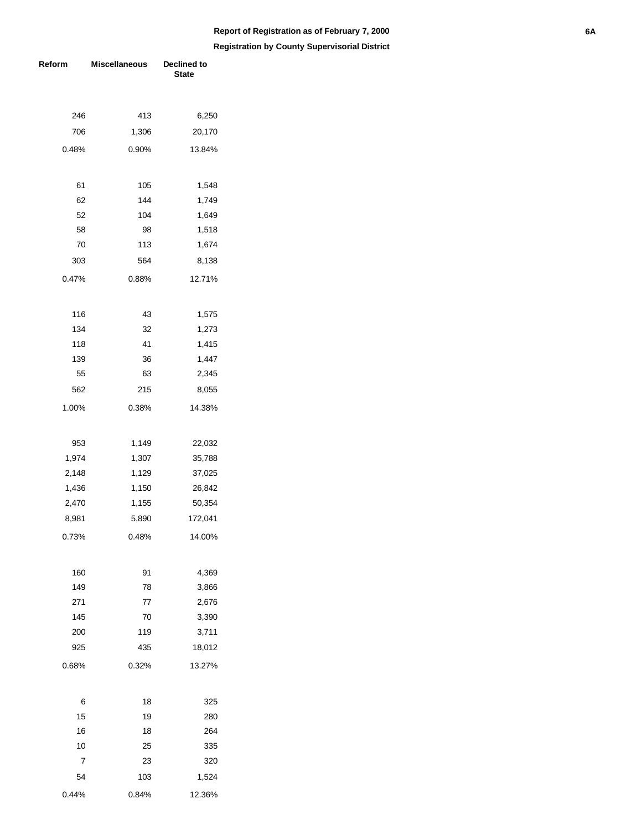| Reform | <b>Miscellaneous</b> | Declined to<br><b>State</b> |  |  |
|--------|----------------------|-----------------------------|--|--|
|        |                      |                             |  |  |
| 246    | 413                  |                             |  |  |
| 706    | 1,306                | 6,250<br>20,170             |  |  |
|        |                      |                             |  |  |
| 0.48%  | 0.90%                | 13.84%                      |  |  |
|        |                      |                             |  |  |
| 61     | 105                  | 1,548                       |  |  |
| 62     | 144                  | 1,749                       |  |  |
| 52     | 104                  | 1,649                       |  |  |
| 58     | 98                   | 1,518                       |  |  |
| 70     | 113                  | 1,674                       |  |  |
| 303    | 564                  | 8,138                       |  |  |
| 0.47%  | 0.88%                | 12.71%                      |  |  |
|        |                      |                             |  |  |
| 116    | 43                   | 1,575                       |  |  |
| 134    | 32                   | 1,273                       |  |  |
| 118    | 41                   | 1,415                       |  |  |
| 139    | 36                   | 1,447                       |  |  |
| 55     | 63                   | 2,345                       |  |  |
| 562    | 215                  | 8,055                       |  |  |
| 1.00%  | 0.38%                | 14.38%                      |  |  |
|        |                      |                             |  |  |
| 953    | 1,149                | 22,032                      |  |  |
| 1,974  | 1,307                | 35,788                      |  |  |
| 2,148  | 1,129                | 37,025                      |  |  |
| 1,436  | 1,150                | 26,842                      |  |  |
| 2,470  | 1,155                | 50,354                      |  |  |
| 8,981  | 5,890                | 172,041                     |  |  |
| 0.73%  | 0.48%                | 14.00%                      |  |  |
|        |                      |                             |  |  |
| 160    | 91                   | 4,369                       |  |  |
| 149    | 78                   | 3,866                       |  |  |
| 271    | 77                   | 2,676                       |  |  |
| 145    | 70                   | 3,390                       |  |  |
| 200    | 119                  | 3,711                       |  |  |
| 925    | 435                  | 18,012                      |  |  |
| 0.68%  | 0.32%                | 13.27%                      |  |  |
|        |                      |                             |  |  |
| 6      | 18                   | 325                         |  |  |
| 15     | 19                   | 280                         |  |  |
| 16     | 18                   | 264                         |  |  |
| 10     | 25                   | 335                         |  |  |
| 7      | 23                   | 320                         |  |  |
| 54     | 103                  | 1,524                       |  |  |
| 0.44%  | 0.84%                | 12.36%                      |  |  |
|        |                      |                             |  |  |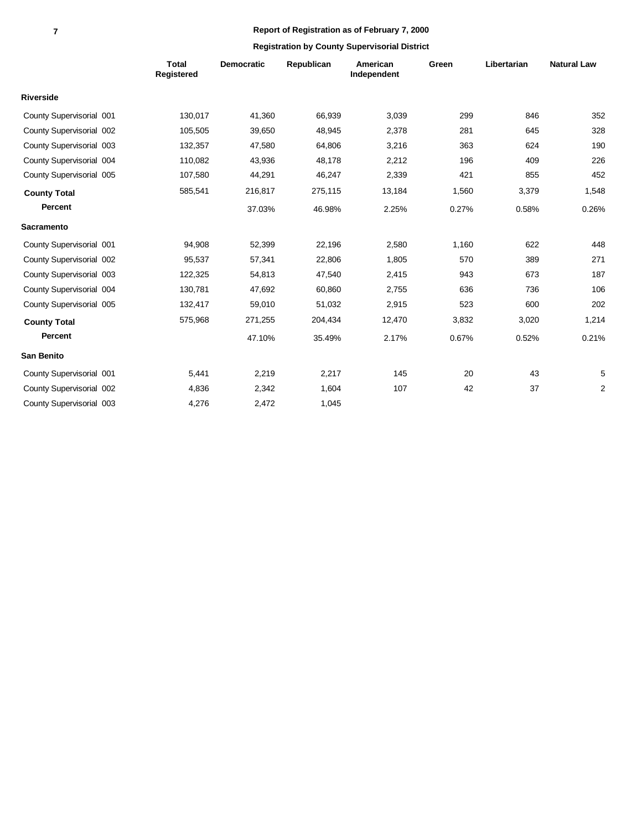|                          | <b>Total</b><br>Registered | <b>Democratic</b> | Republican | American<br>Independent | Green | Libertarian | <b>Natural Law</b> |
|--------------------------|----------------------------|-------------------|------------|-------------------------|-------|-------------|--------------------|
| <b>Riverside</b>         |                            |                   |            |                         |       |             |                    |
| County Supervisorial 001 | 130,017                    | 41,360            | 66,939     | 3,039                   | 299   | 846         | 352                |
| County Supervisorial 002 | 105,505                    | 39,650            | 48,945     | 2,378                   | 281   | 645         | 328                |
| County Supervisorial 003 | 132,357                    | 47,580            | 64,806     | 3,216                   | 363   | 624         | 190                |
| County Supervisorial 004 | 110,082                    | 43,936            | 48,178     | 2,212                   | 196   | 409         | 226                |
| County Supervisorial 005 | 107,580                    | 44,291            | 46,247     | 2,339                   | 421   | 855         | 452                |
| <b>County Total</b>      | 585,541                    | 216,817           | 275,115    | 13,184                  | 1,560 | 3,379       | 1,548              |
| Percent                  |                            | 37.03%            | 46.98%     | 2.25%                   | 0.27% | 0.58%       | 0.26%              |
| <b>Sacramento</b>        |                            |                   |            |                         |       |             |                    |
| County Supervisorial 001 | 94,908                     | 52,399            | 22,196     | 2,580                   | 1,160 | 622         | 448                |
| County Supervisorial 002 | 95,537                     | 57,341            | 22,806     | 1,805                   | 570   | 389         | 271                |
| County Supervisorial 003 | 122,325                    | 54,813            | 47,540     | 2,415                   | 943   | 673         | 187                |
| County Supervisorial 004 | 130,781                    | 47,692            | 60,860     | 2,755                   | 636   | 736         | 106                |
| County Supervisorial 005 | 132,417                    | 59,010            | 51,032     | 2,915                   | 523   | 600         | 202                |
| <b>County Total</b>      | 575,968                    | 271,255           | 204,434    | 12,470                  | 3,832 | 3,020       | 1,214              |
| <b>Percent</b>           |                            | 47.10%            | 35.49%     | 2.17%                   | 0.67% | 0.52%       | 0.21%              |
| <b>San Benito</b>        |                            |                   |            |                         |       |             |                    |
| County Supervisorial 001 | 5,441                      | 2,219             | 2,217      | 145                     | 20    | 43          | 5                  |
| County Supervisorial 002 | 4,836                      | 2,342             | 1,604      | 107                     | 42    | 37          | $\overline{2}$     |
| County Supervisorial 003 | 4,276                      | 2,472             | 1,045      |                         |       |             |                    |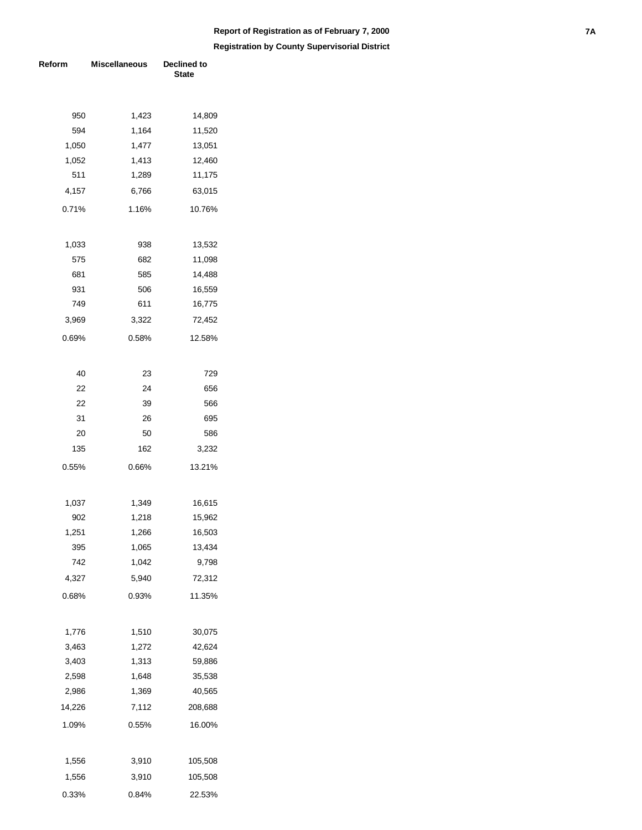# **Registration by County Supervisorial District Report of Registration as of February 7, 2000 7A**

**Reform** Miscellaneous Declined to **State**  950 1,423 14,809 594 1,164 11,520 1,050 1,477 13,051 1,052 1,413 12,460 511 1,289 11,175 4,157 0.71% 6,766 1.16% 63,015 10.76% 1,033 938 13,532 575 682 11,098 681 585 14,488 931 506 16,559 749 611 16,775 3,969 0.69% 3,322 0.58% 72,452 12.58% 40 23 729 22 24 656 22 39 566 31 26 695 20 50 586 135 0.55% 162 0.66% 3,232 13.21% 1,037 1,349 16,615 902 1,218 15,962 1,251 1,266 16,503 395 1,065 13,434 742 1,042 9,798 4,327 0.68% 5,940 0.93% 72,312 11.35% 1,776 1,510 30,075 3,463 1,272 42,624 3,403 1,313 59,886 2,598 1,648 35,538 2,986 1,369 40,565 14,226 1.09% 7,112 0.55% 208,688 16.00% 1,556 3,910 105,508 1,556 0.33% 3,910 0.84% 105,508 22.53%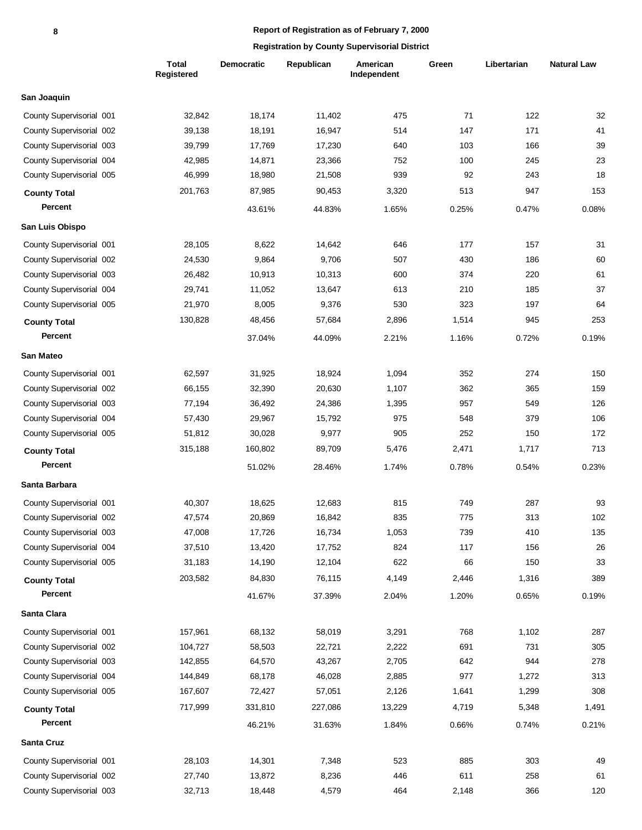|                          | <b>Total</b><br>Registered | <b>Democratic</b> | Republican | American<br>Independent | Green | Libertarian | <b>Natural Law</b> |
|--------------------------|----------------------------|-------------------|------------|-------------------------|-------|-------------|--------------------|
| San Joaquin              |                            |                   |            |                         |       |             |                    |
| County Supervisorial 001 | 32,842                     | 18,174            | 11,402     | 475                     | 71    | 122         | 32                 |
| County Supervisorial 002 | 39,138                     | 18,191            | 16,947     | 514                     | 147   | 171         | 41                 |
| County Supervisorial 003 | 39,799                     | 17,769            | 17,230     | 640                     | 103   | 166         | 39                 |
| County Supervisorial 004 | 42,985                     | 14,871            | 23,366     | 752                     | 100   | 245         | 23                 |
| County Supervisorial 005 | 46,999                     | 18,980            | 21,508     | 939                     | 92    | 243         | 18                 |
| <b>County Total</b>      | 201,763                    | 87,985            | 90,453     | 3,320                   | 513   | 947         | 153                |
| Percent                  |                            | 43.61%            | 44.83%     | 1.65%                   | 0.25% | 0.47%       | 0.08%              |
| San Luis Obispo          |                            |                   |            |                         |       |             |                    |
| County Supervisorial 001 | 28,105                     | 8,622             | 14,642     | 646                     | 177   | 157         | 31                 |
| County Supervisorial 002 | 24,530                     | 9,864             | 9,706      | 507                     | 430   | 186         | 60                 |
| County Supervisorial 003 | 26,482                     | 10,913            | 10,313     | 600                     | 374   | 220         | 61                 |
| County Supervisorial 004 | 29,741                     | 11,052            | 13,647     | 613                     | 210   | 185         | 37                 |
| County Supervisorial 005 | 21,970                     | 8,005             | 9,376      | 530                     | 323   | 197         | 64                 |
| <b>County Total</b>      | 130,828                    | 48,456            | 57,684     | 2,896                   | 1,514 | 945         | 253                |
| Percent                  |                            | 37.04%            | 44.09%     | 2.21%                   | 1.16% | 0.72%       | 0.19%              |
| San Mateo                |                            |                   |            |                         |       |             |                    |
| County Supervisorial 001 | 62,597                     | 31,925            | 18,924     | 1,094                   | 352   | 274         | 150                |
| County Supervisorial 002 | 66,155                     | 32,390            | 20,630     | 1,107                   | 362   | 365         | 159                |
| County Supervisorial 003 | 77,194                     | 36,492            | 24,386     | 1,395                   | 957   | 549         | 126                |
| County Supervisorial 004 | 57,430                     | 29,967            | 15,792     | 975                     | 548   | 379         | 106                |
| County Supervisorial 005 | 51,812                     | 30,028            | 9,977      | 905                     | 252   | 150         | 172                |
| <b>County Total</b>      | 315,188                    | 160,802           | 89,709     | 5,476                   | 2,471 | 1,717       | 713                |
| Percent                  |                            | 51.02%            | 28.46%     | 1.74%                   | 0.78% | 0.54%       | 0.23%              |
| Santa Barbara            |                            |                   |            |                         |       |             |                    |
| County Supervisorial 001 | 40,307                     | 18,625            | 12,683     | 815                     | 749   | 287         | 93                 |
| County Supervisorial 002 | 47,574                     | 20,869            | 16,842     | 835                     | 775   | 313         | 102                |
| County Supervisorial 003 | 47,008                     | 17,726            | 16,734     | 1,053                   | 739   | 410         | 135                |
| County Supervisorial 004 | 37,510                     | 13,420            | 17,752     | 824                     | 117   | 156         | 26                 |
| County Supervisorial 005 | 31,183                     | 14,190            | 12,104     | 622                     | 66    | 150         | 33                 |
| <b>County Total</b>      | 203,582                    | 84,830            | 76,115     | 4,149                   | 2,446 | 1,316       | 389                |
| Percent                  |                            | 41.67%            | 37.39%     | 2.04%                   | 1.20% | 0.65%       | 0.19%              |
| Santa Clara              |                            |                   |            |                         |       |             |                    |
| County Supervisorial 001 | 157,961                    | 68,132            | 58,019     | 3,291                   | 768   | 1,102       | 287                |
| County Supervisorial 002 | 104,727                    | 58,503            | 22,721     | 2,222                   | 691   | 731         | 305                |
| County Supervisorial 003 | 142,855                    | 64,570            | 43,267     | 2,705                   | 642   | 944         | 278                |
| County Supervisorial 004 | 144,849                    | 68,178            | 46,028     | 2,885                   | 977   | 1,272       | 313                |
| County Supervisorial 005 | 167,607                    | 72,427            | 57,051     | 2,126                   | 1,641 | 1,299       | 308                |
| <b>County Total</b>      | 717,999                    | 331,810           | 227,086    | 13,229                  | 4,719 | 5,348       | 1,491              |
| Percent                  |                            | 46.21%            | 31.63%     | 1.84%                   | 0.66% | 0.74%       | 0.21%              |
| Santa Cruz               |                            |                   |            |                         |       |             |                    |
| County Supervisorial 001 | 28,103                     | 14,301            | 7,348      | 523                     | 885   | 303         | 49                 |
| County Supervisorial 002 | 27,740                     | 13,872            | 8,236      | 446                     | 611   | 258         | 61                 |
| County Supervisorial 003 | 32,713                     | 18,448            | 4,579      | 464                     | 2,148 | 366         | 120                |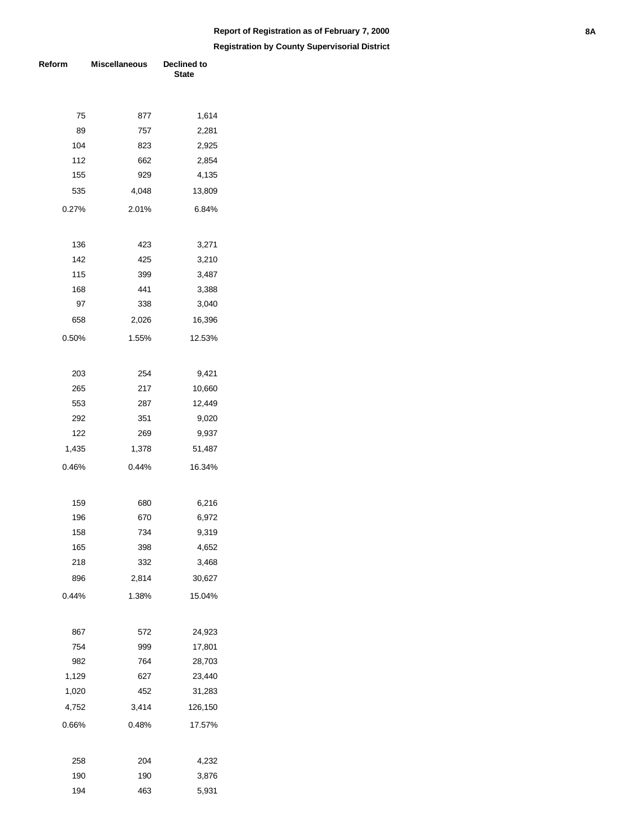# **Registration by County Supervisorial District Report of Registration as of February 7, 2000 8A**

**Reform** Miscellaneous Declined to **State**  75 877 1,614 89 757 2,281 104 823 2,925 112 662 2,854 155 929 4,135 535 0.27% 4,048 2.01% 13,809 6.84% 136 423 3,271 142 425 3,210 115 399 3,487 168 441 3,388 97 338 3,040 658 0.50% 2,026 1.55% 16,396 12.53% 203 254 9,421 265 217 10,660 553 287 12,449 292 351 9,020 122 269 9,937 1,435 0.46% 1,378 0.44% 51,487 16.34% 159 680 6,216 196 670 6,972 158 734 9,319 165 398 4,652 218 332 3,468 896 0.44% 2,814 1.38% 30,627 15.04% 867 572 24,923 754 999 17,801 982 764 28,703 1,129 627 23,440 1,020 452 31,283 4,752 0.66% 3,414 0.48% 126,150 17.57% 258 204 4,232 190 190 3,876 194 463 5,931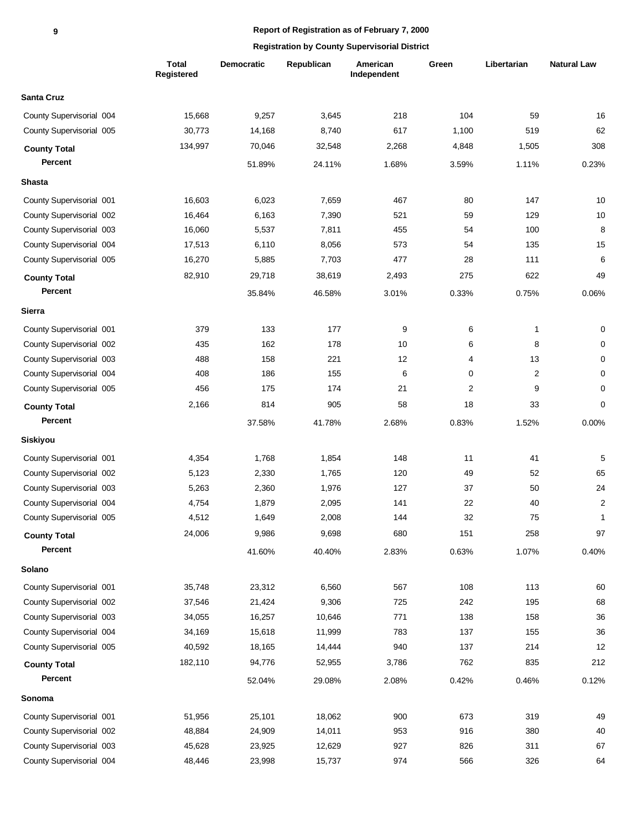|                          | <b>Total</b><br>Registered | <b>Democratic</b> | Republican | American<br>Independent | Green | Libertarian  | <b>Natural Law</b> |
|--------------------------|----------------------------|-------------------|------------|-------------------------|-------|--------------|--------------------|
| <b>Santa Cruz</b>        |                            |                   |            |                         |       |              |                    |
| County Supervisorial 004 | 15,668                     | 9,257             | 3,645      | 218                     | 104   | 59           | 16                 |
| County Supervisorial 005 | 30,773                     | 14,168            | 8,740      | 617                     | 1,100 | 519          | 62                 |
| <b>County Total</b>      | 134,997                    | 70,046            | 32,548     | 2,268                   | 4,848 | 1,505        | 308                |
| Percent                  |                            | 51.89%            | 24.11%     | 1.68%                   | 3.59% | 1.11%        | 0.23%              |
| <b>Shasta</b>            |                            |                   |            |                         |       |              |                    |
| County Supervisorial 001 | 16,603                     | 6,023             | 7,659      | 467                     | 80    | 147          | 10                 |
| County Supervisorial 002 | 16,464                     | 6,163             | 7,390      | 521                     | 59    | 129          | 10                 |
| County Supervisorial 003 | 16,060                     | 5,537             | 7,811      | 455                     | 54    | 100          | 8                  |
| County Supervisorial 004 | 17,513                     | 6,110             | 8,056      | 573                     | 54    | 135          | 15                 |
| County Supervisorial 005 | 16,270                     | 5,885             | 7,703      | 477                     | 28    | 111          | 6                  |
| <b>County Total</b>      | 82,910                     | 29,718            | 38,619     | 2,493                   | 275   | 622          | 49                 |
| <b>Percent</b>           |                            | 35.84%            | 46.58%     | 3.01%                   | 0.33% | 0.75%        | 0.06%              |
| Sierra                   |                            |                   |            |                         |       |              |                    |
| County Supervisorial 001 | 379                        | 133               | 177        | 9                       | 6     | $\mathbf{1}$ | 0                  |
| County Supervisorial 002 | 435                        | 162               | 178        | 10                      | 6     | 8            | 0                  |
| County Supervisorial 003 | 488                        | 158               | 221        | 12                      | 4     | 13           | 0                  |
| County Supervisorial 004 | 408                        | 186               | 155        | 6                       | 0     | 2            | 0                  |
| County Supervisorial 005 | 456                        | 175               | 174        | 21                      | 2     | 9            | 0                  |
| <b>County Total</b>      | 2,166                      | 814               | 905        | 58                      | 18    | 33           | 0                  |
| Percent                  |                            | 37.58%            | 41.78%     | 2.68%                   | 0.83% | 1.52%        | 0.00%              |
| Siskiyou                 |                            |                   |            |                         |       |              |                    |
| County Supervisorial 001 | 4,354                      | 1,768             | 1,854      | 148                     | 11    | 41           | 5                  |
| County Supervisorial 002 | 5,123                      | 2,330             | 1,765      | 120                     | 49    | 52           | 65                 |
| County Supervisorial 003 | 5,263                      | 2,360             | 1,976      | 127                     | 37    | 50           | 24                 |
| County Supervisorial 004 | 4,754                      | 1,879             | 2,095      | 141                     | 22    | 40           | $\overline{2}$     |
| County Supervisorial 005 | 4,512                      | 1,649             | 2,008      | 144                     | 32    | 75           | 1                  |
| <b>County Total</b>      | 24,006                     | 9,986             | 9,698      | 680                     | 151   | 258          | 97                 |
| Percent                  |                            | 41.60%            | 40.40%     | 2.83%                   | 0.63% | 1.07%        | 0.40%              |
| Solano                   |                            |                   |            |                         |       |              |                    |
| County Supervisorial 001 | 35,748                     | 23,312            | 6,560      | 567                     | 108   | 113          | 60                 |
| County Supervisorial 002 | 37,546                     | 21,424            | 9,306      | 725                     | 242   | 195          | 68                 |
| County Supervisorial 003 | 34,055                     | 16,257            | 10,646     | 771                     | 138   | 158          | 36                 |
| County Supervisorial 004 | 34,169                     | 15,618            | 11,999     | 783                     | 137   | 155          | 36                 |
| County Supervisorial 005 | 40,592                     | 18,165            | 14,444     | 940                     | 137   | 214          | 12                 |
| <b>County Total</b>      | 182,110                    | 94,776            | 52,955     | 3,786                   | 762   | 835          | 212                |
| Percent                  |                            | 52.04%            | 29.08%     | 2.08%                   | 0.42% | 0.46%        | 0.12%              |
| Sonoma                   |                            |                   |            |                         |       |              |                    |
| County Supervisorial 001 | 51,956                     | 25,101            | 18,062     | 900                     | 673   | 319          | 49                 |
| County Supervisorial 002 | 48,884                     | 24,909            | 14,011     | 953                     | 916   | 380          | 40                 |
| County Supervisorial 003 | 45,628                     | 23,925            | 12,629     | 927                     | 826   | 311          | 67                 |
| County Supervisorial 004 | 48,446                     | 23,998            | 15,737     | 974                     | 566   | 326          | 64                 |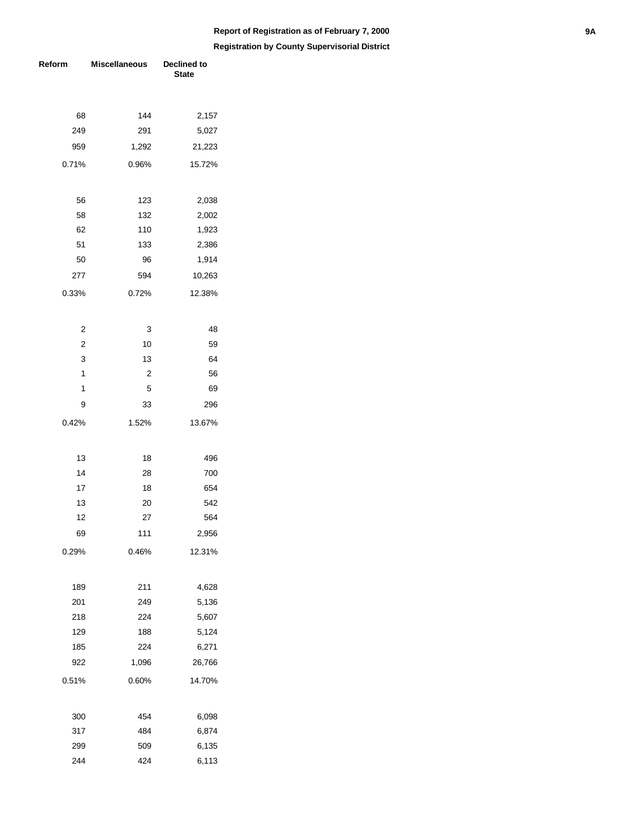| Reform                  | <b>Miscellaneous</b> | Declined to<br><b>State</b> |  |  |
|-------------------------|----------------------|-----------------------------|--|--|
|                         |                      |                             |  |  |
| 68                      | 144                  | 2,157                       |  |  |
| 249                     | 291                  | 5,027                       |  |  |
| 959                     | 1,292                | 21,223                      |  |  |
| 0.71%                   | 0.96%                | 15.72%                      |  |  |
| 56                      | 123                  | 2,038                       |  |  |
| 58                      | 132                  | 2,002                       |  |  |
| 62                      | 110                  | 1,923                       |  |  |
| 51                      | 133                  | 2,386                       |  |  |
| 50                      | 96                   | 1,914                       |  |  |
| 277                     | 594                  | 10,263                      |  |  |
| 0.33%                   | 0.72%                | 12.38%                      |  |  |
| 2                       | 3                    | 48                          |  |  |
| $\overline{\mathbf{c}}$ | 10                   | 59                          |  |  |
| 3                       | 13                   | 64                          |  |  |
| 1                       | $\overline{2}$       | 56                          |  |  |
| 1                       | 5                    | 69                          |  |  |
| 9                       | 33                   | 296                         |  |  |
| 0.42%                   | 1.52%                | 13.67%                      |  |  |
| 13                      | 18                   | 496                         |  |  |
| 14                      | 28                   | 700                         |  |  |
| 17                      | 18                   | 654                         |  |  |
| 13                      | 20                   | 542                         |  |  |
| 12                      | 27                   | 564                         |  |  |
| 69                      | 111                  | 2,956                       |  |  |
| 0.29%                   | 0.46%                | 12.31%                      |  |  |
| 189                     | 211                  | 4,628                       |  |  |
| 201                     | 249                  | 5,136                       |  |  |
| 218                     | 224                  | 5,607                       |  |  |
| 129                     | 188                  | 5,124                       |  |  |
| 185                     | 224                  | 6,271                       |  |  |
| 922                     | 1,096                | 26,766                      |  |  |
|                         |                      |                             |  |  |
| 0.51%                   | 0.60%                | 14.70%                      |  |  |
| 300                     | 454                  | 6,098                       |  |  |
| 317                     | 484                  | 6,874                       |  |  |
| 299                     | 509                  | 6,135                       |  |  |
| 244                     | 424                  | 6,113                       |  |  |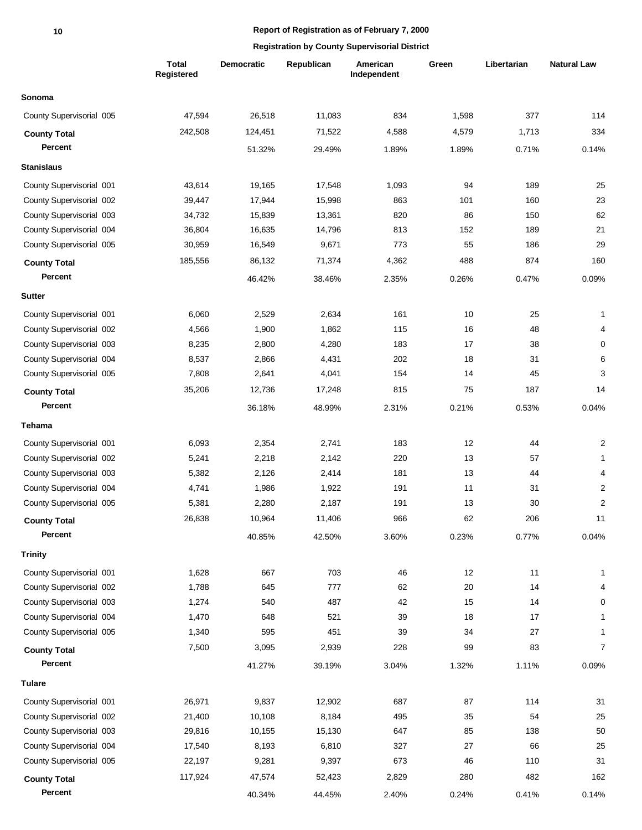|                          | <b>Total</b><br><b>Registered</b> | <b>Democratic</b> | Republican | American<br>Independent | Green | Libertarian | <b>Natural Law</b> |
|--------------------------|-----------------------------------|-------------------|------------|-------------------------|-------|-------------|--------------------|
| Sonoma                   |                                   |                   |            |                         |       |             |                    |
| County Supervisorial 005 | 47,594                            | 26,518            | 11,083     | 834                     | 1,598 | 377         | 114                |
| <b>County Total</b>      | 242,508                           | 124,451           | 71,522     | 4,588                   | 4,579 | 1,713       | 334                |
| Percent                  |                                   | 51.32%            | 29.49%     | 1.89%                   | 1.89% | 0.71%       | 0.14%              |
| <b>Stanislaus</b>        |                                   |                   |            |                         |       |             |                    |
| County Supervisorial 001 | 43,614                            | 19,165            | 17,548     | 1,093                   | 94    | 189         | 25                 |
| County Supervisorial 002 | 39,447                            | 17,944            | 15,998     | 863                     | 101   | 160         | 23                 |
| County Supervisorial 003 | 34,732                            | 15,839            | 13,361     | 820                     | 86    | 150         | 62                 |
| County Supervisorial 004 | 36,804                            | 16,635            | 14,796     | 813                     | 152   | 189         | 21                 |
| County Supervisorial 005 | 30,959                            | 16,549            | 9,671      | 773                     | 55    | 186         | 29                 |
| <b>County Total</b>      | 185,556                           | 86,132            | 71,374     | 4,362                   | 488   | 874         | 160                |
| Percent                  |                                   | 46.42%            | 38.46%     | 2.35%                   | 0.26% | 0.47%       | 0.09%              |
|                          |                                   |                   |            |                         |       |             |                    |
| <b>Sutter</b>            |                                   |                   |            |                         |       |             |                    |
| County Supervisorial 001 | 6,060                             | 2,529             | 2,634      | 161                     | 10    | 25          | 1                  |
| County Supervisorial 002 | 4,566                             | 1,900             | 1,862      | 115                     | 16    | 48          | 4                  |
| County Supervisorial 003 | 8,235                             | 2,800             | 4,280      | 183                     | 17    | 38          | $\mathbf 0$        |
| County Supervisorial 004 | 8,537                             | 2,866             | 4,431      | 202                     | 18    | 31          | 6                  |
| County Supervisorial 005 | 7,808                             | 2,641             | 4,041      | 154                     | 14    | 45          | 3                  |
| <b>County Total</b>      | 35,206                            | 12,736            | 17,248     | 815                     | 75    | 187         | 14                 |
| Percent                  |                                   | 36.18%            | 48.99%     | 2.31%                   | 0.21% | 0.53%       | 0.04%              |
| Tehama                   |                                   |                   |            |                         |       |             |                    |
| County Supervisorial 001 | 6,093                             | 2,354             | 2,741      | 183                     | 12    | 44          | $\overline{c}$     |
| County Supervisorial 002 | 5,241                             | 2,218             | 2,142      | 220                     | 13    | 57          | $\mathbf{1}$       |
| County Supervisorial 003 | 5,382                             | 2,126             | 2,414      | 181                     | 13    | 44          | 4                  |
| County Supervisorial 004 | 4,741                             | 1,986             | 1,922      | 191                     | 11    | 31          | $\overline{c}$     |
| County Supervisorial 005 | 5,381                             | 2,280             | 2,187      | 191                     | 13    | 30          | $\overline{2}$     |
| <b>County Total</b>      | 26,838                            | 10,964            | 11,406     | 966                     | 62    | 206         | 11                 |
| Percent                  |                                   | 40.85%            | 42.50%     | 3.60%                   | 0.23% | 0.77%       | 0.04%              |
| <b>Trinity</b>           |                                   |                   |            |                         |       |             |                    |
| County Supervisorial 001 | 1,628                             | 667               | 703        | 46                      | 12    | 11          | 1                  |
| County Supervisorial 002 | 1,788                             | 645               | 777        | 62                      | 20    | 14          | 4                  |
| County Supervisorial 003 | 1,274                             | 540               | 487        | 42                      | 15    | 14          | 0                  |
| County Supervisorial 004 | 1,470                             | 648               | 521        | 39                      | 18    | 17          | 1                  |
| County Supervisorial 005 | 1,340                             | 595               | 451        | 39                      | 34    | 27          | 1                  |
| <b>County Total</b>      | 7,500                             | 3,095             | 2,939      | 228                     | 99    | 83          | $\overline{7}$     |
| Percent                  |                                   | 41.27%            | 39.19%     | 3.04%                   | 1.32% | 1.11%       | 0.09%              |
| <b>Tulare</b>            |                                   |                   |            |                         |       |             |                    |
| County Supervisorial 001 | 26,971                            | 9,837             | 12,902     | 687                     | 87    | 114         | 31                 |
| County Supervisorial 002 | 21,400                            | 10,108            | 8,184      | 495                     | 35    | 54          | 25                 |
| County Supervisorial 003 | 29,816                            | 10,155            | 15,130     | 647                     | 85    | 138         | 50                 |
| County Supervisorial 004 | 17,540                            | 8,193             | 6,810      | 327                     | 27    | 66          | 25                 |
| County Supervisorial 005 | 22,197                            | 9,281             | 9,397      | 673                     | 46    | 110         | 31                 |
| <b>County Total</b>      | 117,924                           | 47,574            | 52,423     | 2,829                   | 280   | 482         | 162                |
| Percent                  |                                   | 40.34%            | 44.45%     | 2.40%                   | 0.24% | 0.41%       | 0.14%              |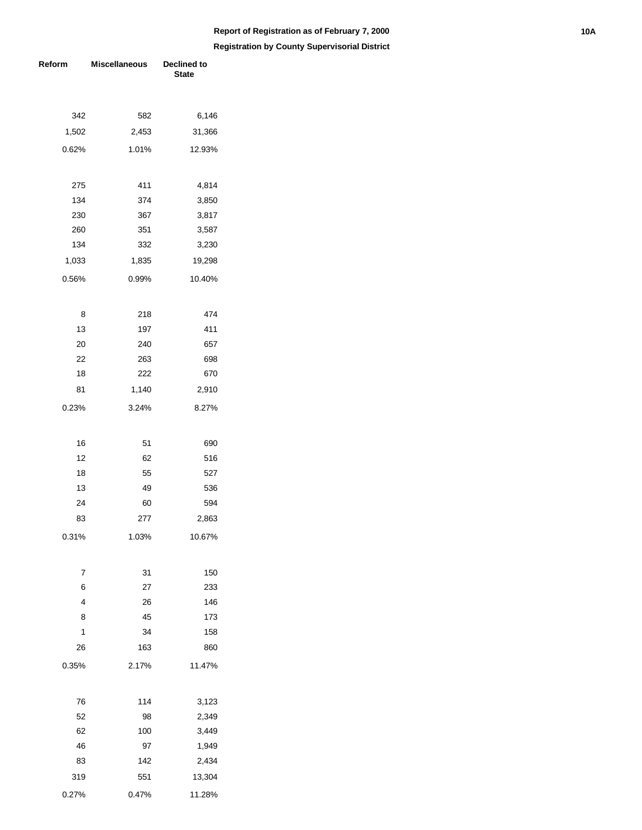# **Report of Registration as of February 7, 2000 10A**

| Reform | <b>Miscellaneous</b> | <b>Declined to</b><br><b>State</b> |
|--------|----------------------|------------------------------------|
|        |                      |                                    |
| 342    | 582                  | 6,146                              |
| 1,502  | 2,453                | 31,366                             |
| 0.62%  | 1.01%                | 12.93%                             |
| 275    | 411                  | 4,814                              |
| 134    | 374                  | 3,850                              |
| 230    | 367                  | 3,817                              |
| 260    | 351                  | 3,587                              |
| 134    | 332                  | 3,230                              |
| 1,033  | 1,835                | 19,298                             |
| 0.56%  | 0.99%                | 10.40%                             |
| 8      | 218                  | 474                                |
| 13     | 197                  | 411                                |
| 20     | 240                  | 657                                |
| 22     | 263                  | 698                                |
| 18     | 222                  | 670                                |
| 81     | 1,140                | 2,910                              |
| 0.23%  | 3.24%                | 8.27%                              |
| 16     | 51                   | 690                                |
| 12     | 62                   | 516                                |
| 18     | 55                   | 527                                |
| 13     | 49                   | 536                                |
| 24     | 60                   | 594                                |
| 83     | 277                  | 2,863                              |
| 0.31%  | 1.03%                | 10.67%                             |
|        |                      |                                    |
| 7      | 31                   | 150                                |
| 6<br>4 | 27<br>26             | 233<br>146                         |
| 8      | 45                   | 173                                |
| 1      | 34                   | 158                                |
|        |                      |                                    |
| 26     | 163                  | 860                                |
| 0.35%  | 2.17%                | 11.47%                             |
| 76     | 114                  | 3,123                              |
| 52     | 98                   | 2,349                              |
| 62     | 100                  | 3,449                              |
| 46     | 97                   | 1,949                              |
| 83     | 142                  | 2,434                              |
| 319    | 551                  | 13,304                             |
| 0.27%  | 0.47%                | 11.28%                             |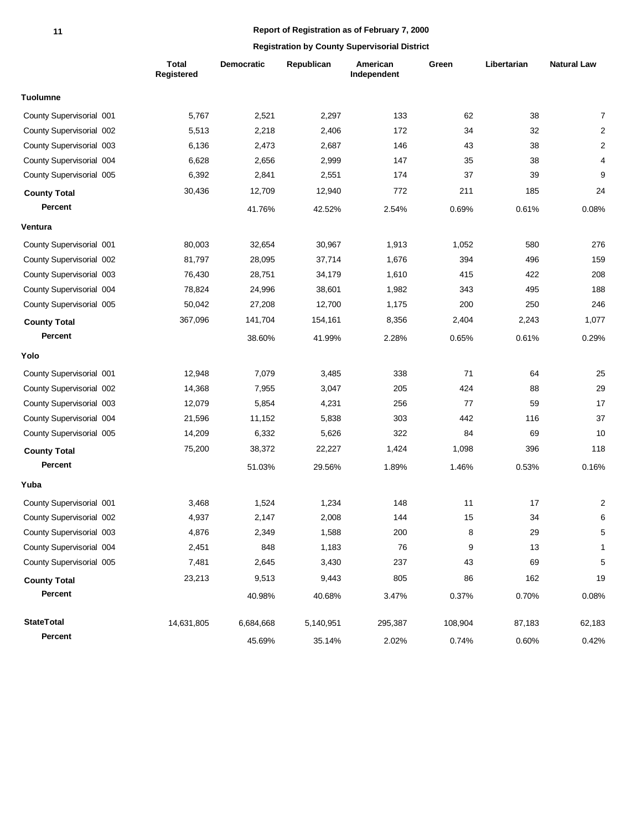|                          | Total<br>Registered | Democratic | Republican | American<br>Independent | Green   | Libertarian | <b>Natural Law</b> |
|--------------------------|---------------------|------------|------------|-------------------------|---------|-------------|--------------------|
| <b>Tuolumne</b>          |                     |            |            |                         |         |             |                    |
| County Supervisorial 001 | 5,767               | 2,521      | 2,297      | 133                     | 62      | 38          | $\overline{7}$     |
| County Supervisorial 002 | 5,513               | 2,218      | 2,406      | 172                     | 34      | 32          | 2                  |
| County Supervisorial 003 | 6,136               | 2,473      | 2,687      | 146                     | 43      | 38          | $\overline{c}$     |
| County Supervisorial 004 | 6,628               | 2,656      | 2,999      | 147                     | 35      | 38          | 4                  |
| County Supervisorial 005 | 6,392               | 2,841      | 2,551      | 174                     | 37      | 39          | 9                  |
| <b>County Total</b>      | 30,436              | 12,709     | 12,940     | 772                     | 211     | 185         | 24                 |
| Percent                  |                     | 41.76%     | 42.52%     | 2.54%                   | 0.69%   | 0.61%       | 0.08%              |
| Ventura                  |                     |            |            |                         |         |             |                    |
| County Supervisorial 001 | 80,003              | 32,654     | 30,967     | 1,913                   | 1,052   | 580         | 276                |
| County Supervisorial 002 | 81,797              | 28,095     | 37,714     | 1,676                   | 394     | 496         | 159                |
| County Supervisorial 003 | 76,430              | 28,751     | 34,179     | 1,610                   | 415     | 422         | 208                |
| County Supervisorial 004 | 78,824              | 24,996     | 38,601     | 1,982                   | 343     | 495         | 188                |
| County Supervisorial 005 | 50,042              | 27,208     | 12,700     | 1,175                   | 200     | 250         | 246                |
| <b>County Total</b>      | 367,096             | 141,704    | 154,161    | 8,356                   | 2,404   | 2,243       | 1,077              |
| Percent                  |                     | 38.60%     | 41.99%     | 2.28%                   | 0.65%   | 0.61%       | 0.29%              |
| Yolo                     |                     |            |            |                         |         |             |                    |
| County Supervisorial 001 | 12,948              | 7,079      | 3,485      | 338                     | 71      | 64          | 25                 |
| County Supervisorial 002 | 14,368              | 7,955      | 3,047      | 205                     | 424     | 88          | 29                 |
| County Supervisorial 003 | 12,079              | 5,854      | 4,231      | 256                     | 77      | 59          | 17                 |
| County Supervisorial 004 | 21,596              | 11,152     | 5,838      | 303                     | 442     | 116         | 37                 |
| County Supervisorial 005 | 14,209              | 6,332      | 5,626      | 322                     | 84      | 69          | 10                 |
| <b>County Total</b>      | 75,200              | 38,372     | 22,227     | 1,424                   | 1,098   | 396         | 118                |
| Percent                  |                     | 51.03%     | 29.56%     | 1.89%                   | 1.46%   | 0.53%       | 0.16%              |
| Yuba                     |                     |            |            |                         |         |             |                    |
| County Supervisorial 001 | 3,468               | 1,524      | 1,234      | 148                     | 11      | 17          | $\overline{c}$     |
| County Supervisorial 002 | 4,937               | 2,147      | 2,008      | 144                     | 15      | 34          | 6                  |
| County Supervisorial 003 | 4,876               | 2,349      | 1,588      | 200                     | 8       | 29          | 5                  |
| County Supervisorial 004 | 2,451               | 848        | 1,183      | 76                      | 9       | 13          | 1                  |
| County Supervisorial 005 | 7,481               | 2,645      | 3,430      | 237                     | 43      | 69          | $\sqrt{5}$         |
| <b>County Total</b>      | 23,213              | 9,513      | 9,443      | 805                     | 86      | 162         | 19                 |
| Percent                  |                     | 40.98%     | 40.68%     | 3.47%                   | 0.37%   | 0.70%       | 0.08%              |
| <b>StateTotal</b>        | 14,631,805          | 6,684,668  | 5,140,951  | 295,387                 | 108,904 | 87,183      | 62,183             |
| Percent                  |                     | 45.69%     | 35.14%     | 2.02%                   | 0.74%   | 0.60%       | 0.42%              |